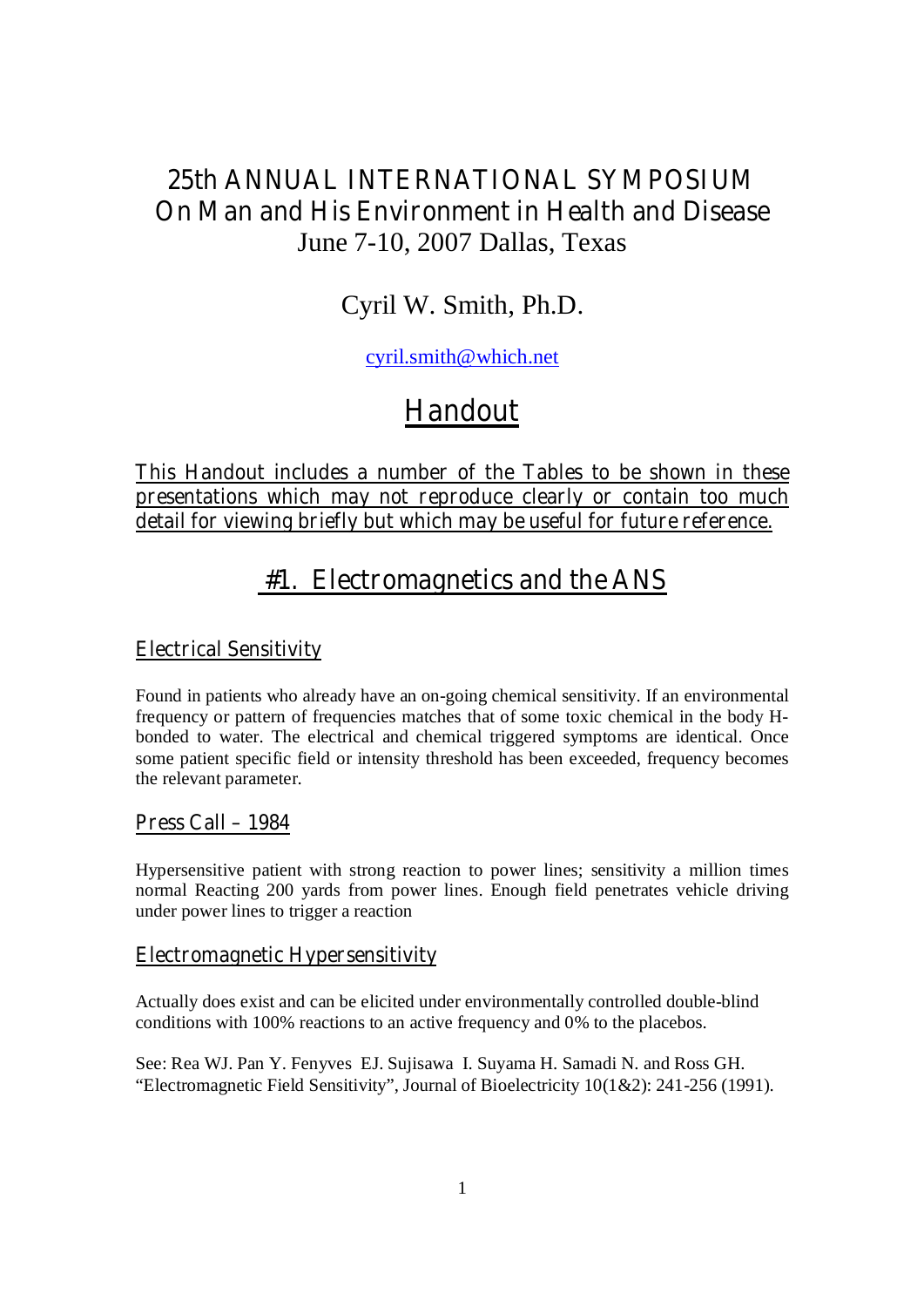# **25th ANNUAL INTERNATIONAL SYMPOSIUM On Man and His Environment in Health and Disease**  June 7-10, 2007 Dallas, Texas

# Cyril W. Smith, Ph.D.

cyril.smith@which.net

# **Handout**

**This Handout includes a number of the Tables to be shown in these presentations which may not reproduce clearly or contain too much detail for viewing briefly but which may be useful for future reference.** 

# **#1. Electromagnetics and the ANS**

## **Electrical Sensitivity**

Found in patients who already have an on-going chemical sensitivity. If an environmental frequency or pattern of frequencies matches that of some toxic chemical in the body Hbonded to water. The electrical and chemical triggered symptoms are identical. Once some patient specific field or intensity threshold has been exceeded, frequency becomes the relevant parameter.

## **Press Call – 1984**

Hypersensitive patient with strong reaction to power lines; sensitivity a million times normal Reacting 200 yards from power lines. Enough field penetrates vehicle driving under power lines to trigger a reaction

## **Electromagnetic Hypersensitivity**

Actually does exist and can be elicited under environmentally controlled double-blind conditions with 100% reactions to an active frequency and 0% to the placebos.

See: Rea WJ. Pan Y. Fenyves EJ. Sujisawa I. Suyama H. Samadi N. and Ross GH. "Electromagnetic Field Sensitivity", Journal of Bioelectricity 10(1&2): 241-256 (1991).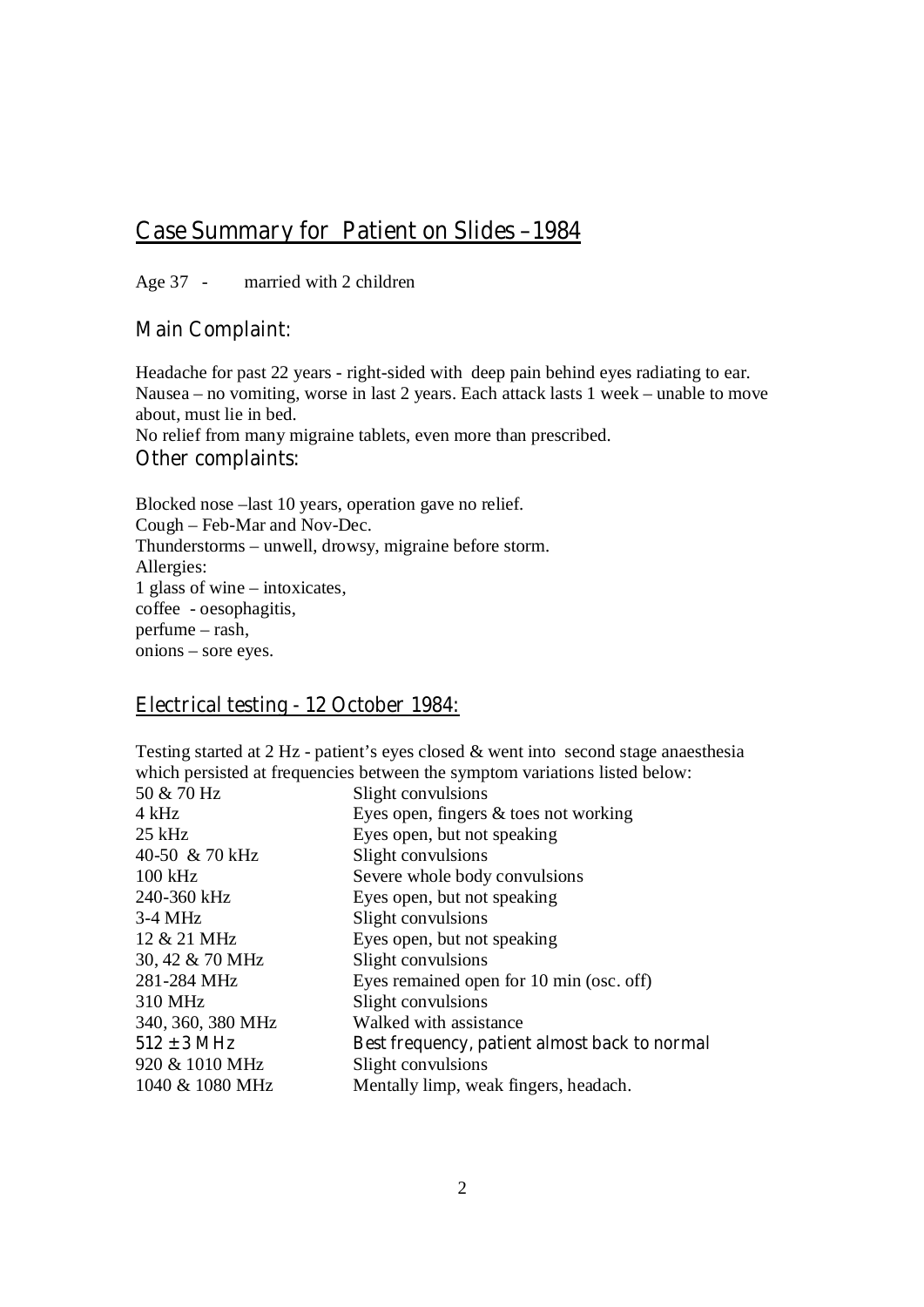## **Case Summary for Patient on Slides –1984**

Age 37 - married with 2 children

## **Main Complaint:**

Headache for past 22 years - right-sided with deep pain behind eyes radiating to ear. Nausea – no vomiting, worse in last 2 years. Each attack lasts 1 week – unable to move about, must lie in bed.

No relief from many migraine tablets, even more than prescribed.

## **Other complaints:**

Blocked nose –last 10 years, operation gave no relief. Cough – Feb-Mar and Nov-Dec. Thunderstorms – unwell, drowsy, migraine before storm. Allergies: 1 glass of wine – intoxicates, coffee - oesophagitis, perfume – rash, onions – sore eyes.

## **Electrical testing - 12 October 1984:**

Testing started at 2 Hz - patient's eyes closed & went into second stage anaesthesia which persisted at frequencies between the symptom variations listed below:

| Slight convulsions                            |
|-----------------------------------------------|
| Eyes open, fingers $\&$ toes not working      |
| Eyes open, but not speaking                   |
| Slight convulsions                            |
| Severe whole body convulsions                 |
| Eyes open, but not speaking                   |
| Slight convulsions                            |
| Eyes open, but not speaking                   |
| Slight convulsions                            |
| Eyes remained open for 10 min (osc. off)      |
| Slight convulsions                            |
| Walked with assistance                        |
| Best frequency, patient almost back to normal |
| Slight convulsions                            |
| Mentally limp, weak fingers, headach.         |
|                                               |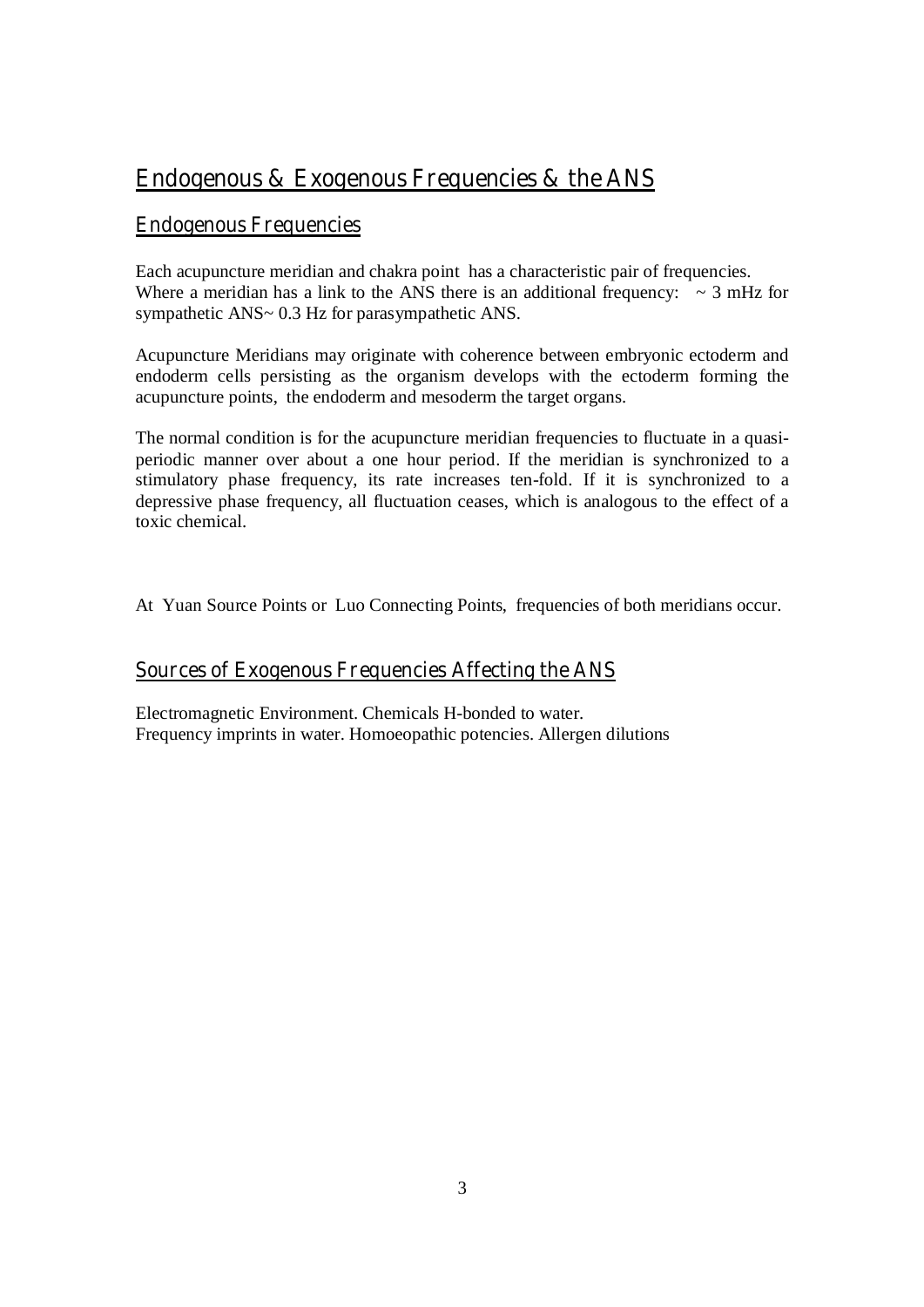# **Endogenous & Exogenous Frequencies & the ANS**

## **Endogenous Frequencies**

Each acupuncture meridian and chakra point has a characteristic pair of frequencies. Where a meridian has a link to the ANS there is an additional frequency:  $\sim$  3 mHz for sympathetic ANS~ 0.3 Hz for parasympathetic ANS.

Acupuncture Meridians may originate with coherence between embryonic ectoderm and endoderm cells persisting as the organism develops with the ectoderm forming the acupuncture points, the endoderm and mesoderm the target organs.

The normal condition is for the acupuncture meridian frequencies to fluctuate in a quasiperiodic manner over about a one hour period. If the meridian is synchronized to a stimulatory phase frequency, its rate increases ten-fold. If it is synchronized to a depressive phase frequency, all fluctuation ceases, which is analogous to the effect of a toxic chemical.

At Yuan Source Points or Luo Connecting Points, frequencies of both meridians occur.

## **Sources of Exogenous Frequencies Affecting the ANS**

Electromagnetic Environment. Chemicals H-bonded to water. Frequency imprints in water. Homoeopathic potencies. Allergen dilutions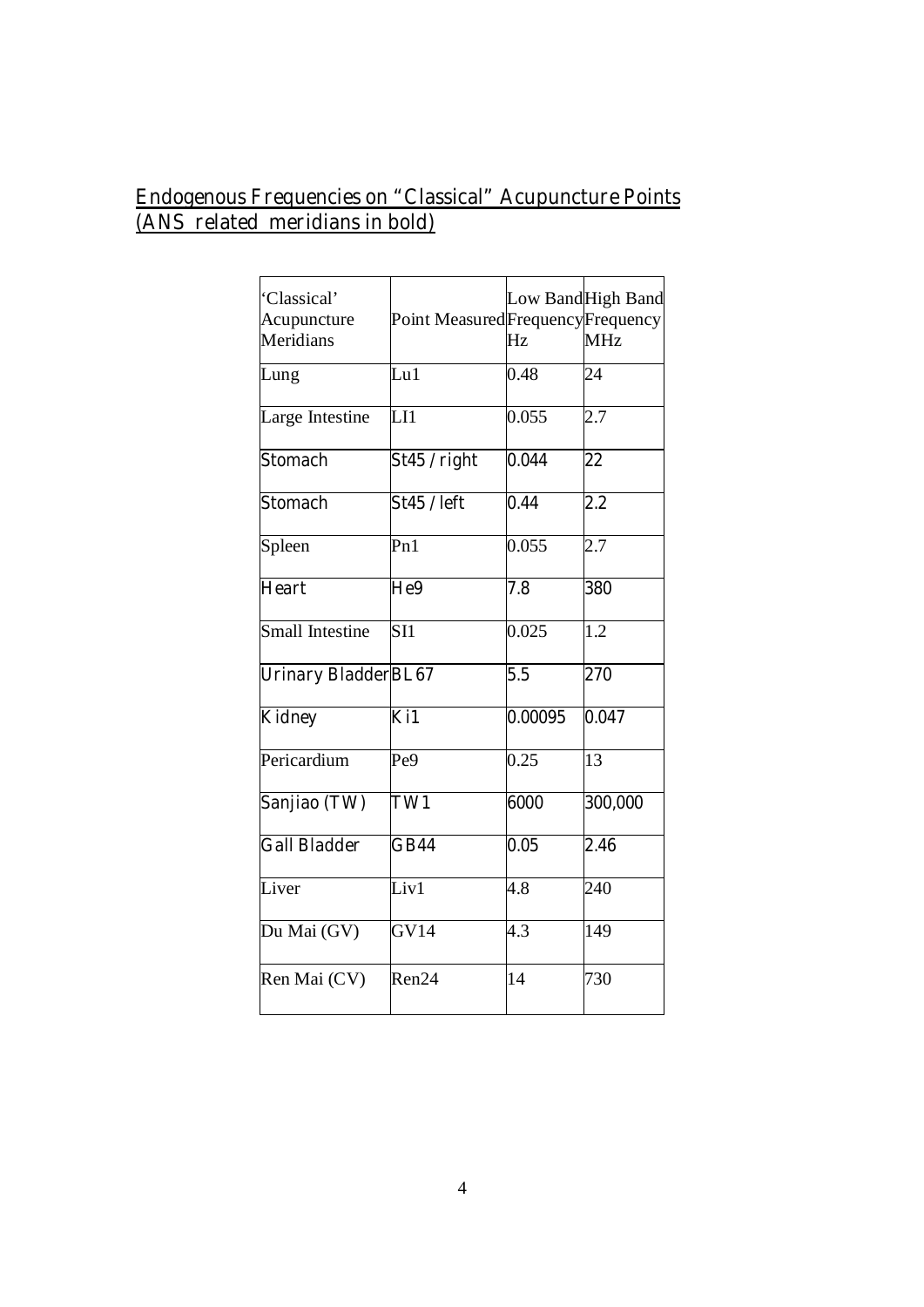## **Endogenous Frequencies on "Classical" Acupuncture Points (ANS related meridians in bold)**

| 'Classical'<br>Acupuncture<br>Meridians | Point Measured Frequency Frequency | Hz      | Low BandHigh Band<br><b>MHz</b> |
|-----------------------------------------|------------------------------------|---------|---------------------------------|
| Lung                                    | Lu1                                | 0.48    | 24                              |
| Large Intestine                         | $\overline{\text{LI}}$             | 0.055   | 2.7                             |
| <b>Stomach</b>                          | St45 / right                       | 0.044   | 22                              |
| <b>Stomach</b>                          | <b>St45 / left</b>                 | 0.44    | $2.2\,$                         |
| Spleen                                  | Pn1                                | 0.055   | 2.7                             |
| <b>Heart</b>                            | He9                                | 7.8     | 380                             |
| <b>Small Intestine</b>                  | SI1                                | 0.025   | 1.2                             |
| <b>Urinary BladderBL67</b>              |                                    | 5.5     | 270                             |
| <b>Kidney</b>                           | Ki1                                | 0.00095 | 0.047                           |
| Pericardium                             | Pe <sub>9</sub>                    | 0.25    | 13                              |
| Sanjiao (TW)                            | TW1                                | 6000    | 300,000                         |
| <b>Gall Bladder</b>                     | GB44                               | 0.05    | 2.46                            |
| Liver                                   | Liv1                               | 4.8     | 240                             |
| Du Mai (GV)                             | GVI4                               | 4.3     | 149                             |
| Ren Mai (CV)                            | Ren24                              | 14      | 730                             |
|                                         |                                    |         |                                 |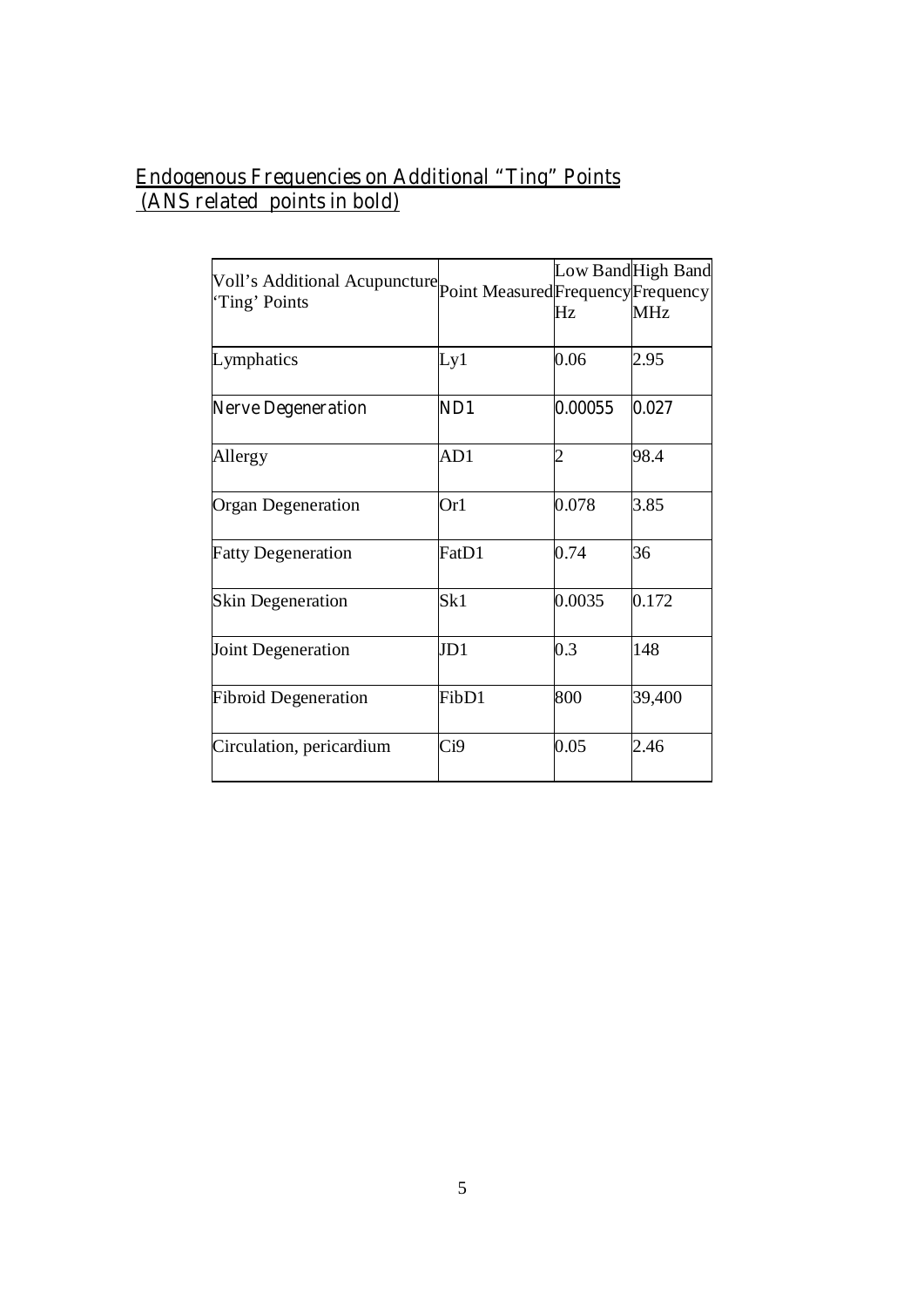## **Endogenous Frequencies on Additional "Ting" Points (ANS related points in bold)**

| Voll's Additional Acupuncture point Measured Frequency Frequency<br>'Ting' Points |       | Hz             | Low Band High Band<br><b>MHz</b> |
|-----------------------------------------------------------------------------------|-------|----------------|----------------------------------|
| Lymphatics                                                                        | Ly1   | 0.06           | 2.95                             |
| <b>Nerve Degeneration</b>                                                         | ND1   | 0.00055        | 0.027                            |
| Allergy                                                                           | AD1   | $\overline{2}$ | 98.4                             |
| <b>Organ Degeneration</b>                                                         | Or1   | 0.078          | 3.85                             |
| <b>Fatty Degeneration</b>                                                         | FatD1 | 0.74           | 36                               |
| <b>Skin Degeneration</b>                                                          | Sk1   | 0.0035         | 0.172                            |
| Joint Degeneration                                                                | JD1   | 0.3            | 148                              |
| <b>Fibroid Degeneration</b>                                                       | FibD1 | 800            | 39,400                           |
| Circulation, pericardium                                                          | Ci9   | 0.05           | 2.46                             |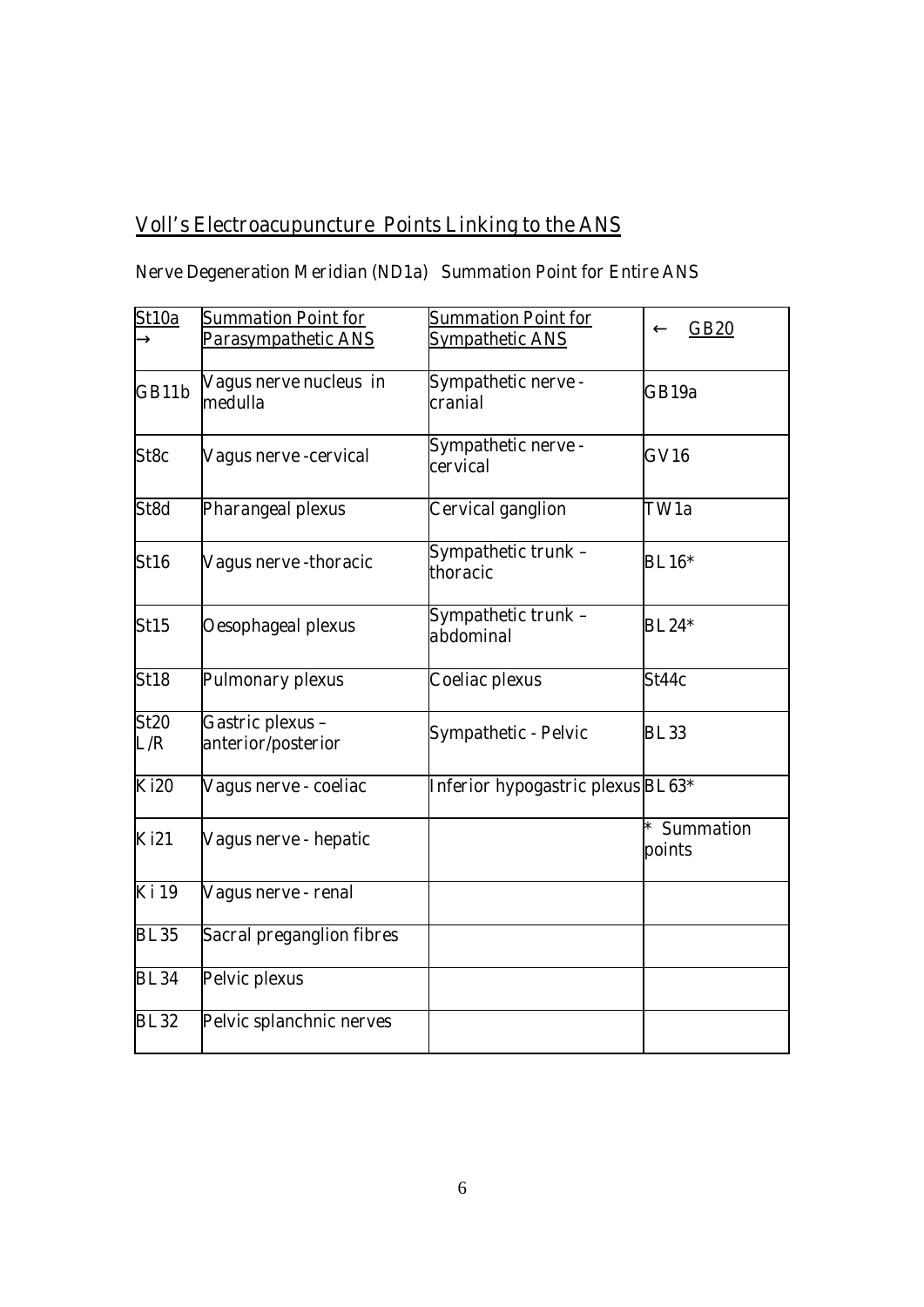# **Voll's Electroacupuncture Points Linking to the ANS**

# **Nerve Degeneration Meridian (ND1a) Summation Point for Entire ANS**

| St10a              | <b>Summation Point for</b>             | <b>Summation Point for</b>        |                         |
|--------------------|----------------------------------------|-----------------------------------|-------------------------|
|                    | Parasympathetic ANS                    | <b>Sympathetic ANS</b>            | <b>GB20</b>             |
| GB11b              | Vagus nerve nucleus in<br>medulla      | Sympathetic nerve -<br>cranial    | GB19a                   |
| St8c               | <b>Vagus nerve -cervical</b>           | Sympathetic nerve -<br>cervical   | <b>GV16</b>             |
| St8d               | Pharangeal plexus                      | Cervical ganglion                 | TW1a                    |
| <b>St16</b>        | Vagus nerve -thoracic                  | Sympathetic trunk -<br>thoracic   | <b>BL16*</b>            |
| St15               | <b>Oesophageal plexus</b>              | Sympathetic trunk -<br>abdominal  | <b>BL24*</b>            |
| <b>St18</b>        | <b>Pulmonary plexus</b>                | <b>Coeliac plexus</b>             | St44c                   |
| <b>St20</b><br>L/R | Gastric plexus -<br>anterior/posterior | <b>Sympathetic - Pelvic</b>       | <b>BL33</b>             |
| <b>Ki20</b>        | Vagus nerve - coeliac                  | Inferior hypogastric plexus BL63* |                         |
| <b>Ki21</b>        | Vagus nerve - hepatic                  |                                   | $*$ Summation<br>points |
| <b>Ki</b> 19       | Vagus nerve - renal                    |                                   |                         |
| <b>BL35</b>        | <b>Sacral preganglion fibres</b>       |                                   |                         |
| <b>BL34</b>        | Pelvic plexus                          |                                   |                         |
| <b>BL32</b>        | Pelvic splanchnic nerves               |                                   |                         |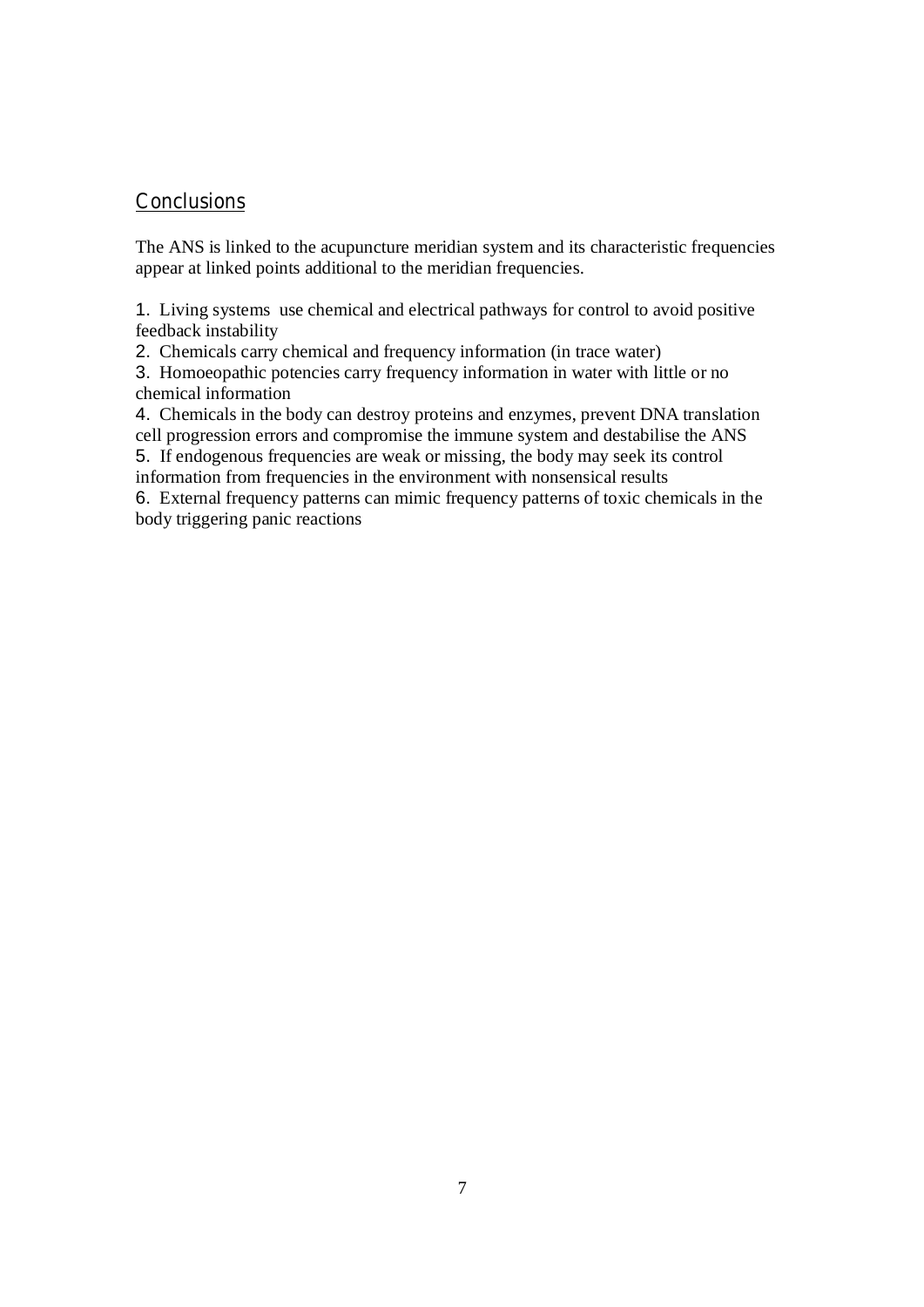## **Conclusions**

The ANS is linked to the acupuncture meridian system and its characteristic frequencies appear at linked points additional to the meridian frequencies.

1. Living systems use chemical and electrical pathways for control to avoid positive feedback instability

2. Chemicals carry chemical and frequency information (in trace water)

3. Homoeopathic potencies carry frequency information in water with little or no chemical information

4. Chemicals in the body can destroy proteins and enzymes, prevent DNA translation cell progression errors and compromise the immune system and destabilise the ANS

5. If endogenous frequencies are weak or missing, the body may seek its control information from frequencies in the environment with nonsensical results

6. External frequency patterns can mimic frequency patterns of toxic chemicals in the body triggering panic reactions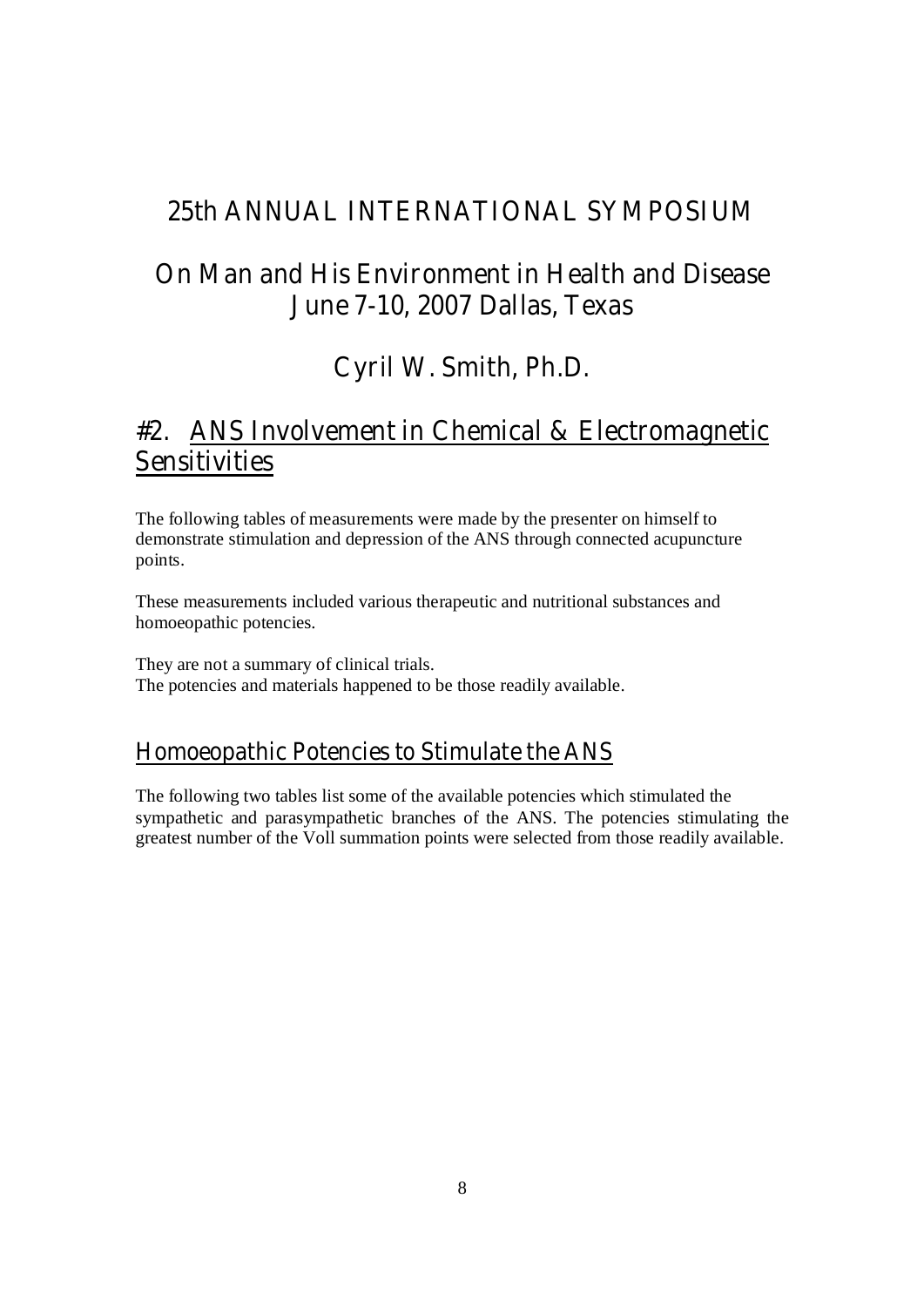# **25th ANNUAL INTERNATIONAL SYMPOSIUM**

# **On Man and His Environment in Health and Disease June 7-10, 2007 Dallas, Texas**

# **Cyril W. Smith, Ph.D.**

# **#2. ANS Involvement in Chemical & Electromagnetic Sensitivities**

The following tables of measurements were made by the presenter on himself to demonstrate stimulation and depression of the ANS through connected acupuncture points.

These measurements included various therapeutic and nutritional substances and homoeopathic potencies.

They are not a summary of clinical trials. The potencies and materials happened to be those readily available.

# **Homoeopathic Potencies to Stimulate the ANS**

The following two tables list some of the available potencies which stimulated the sympathetic and parasympathetic branches of the ANS. The potencies stimulating the greatest number of the Voll summation points were selected from those readily available.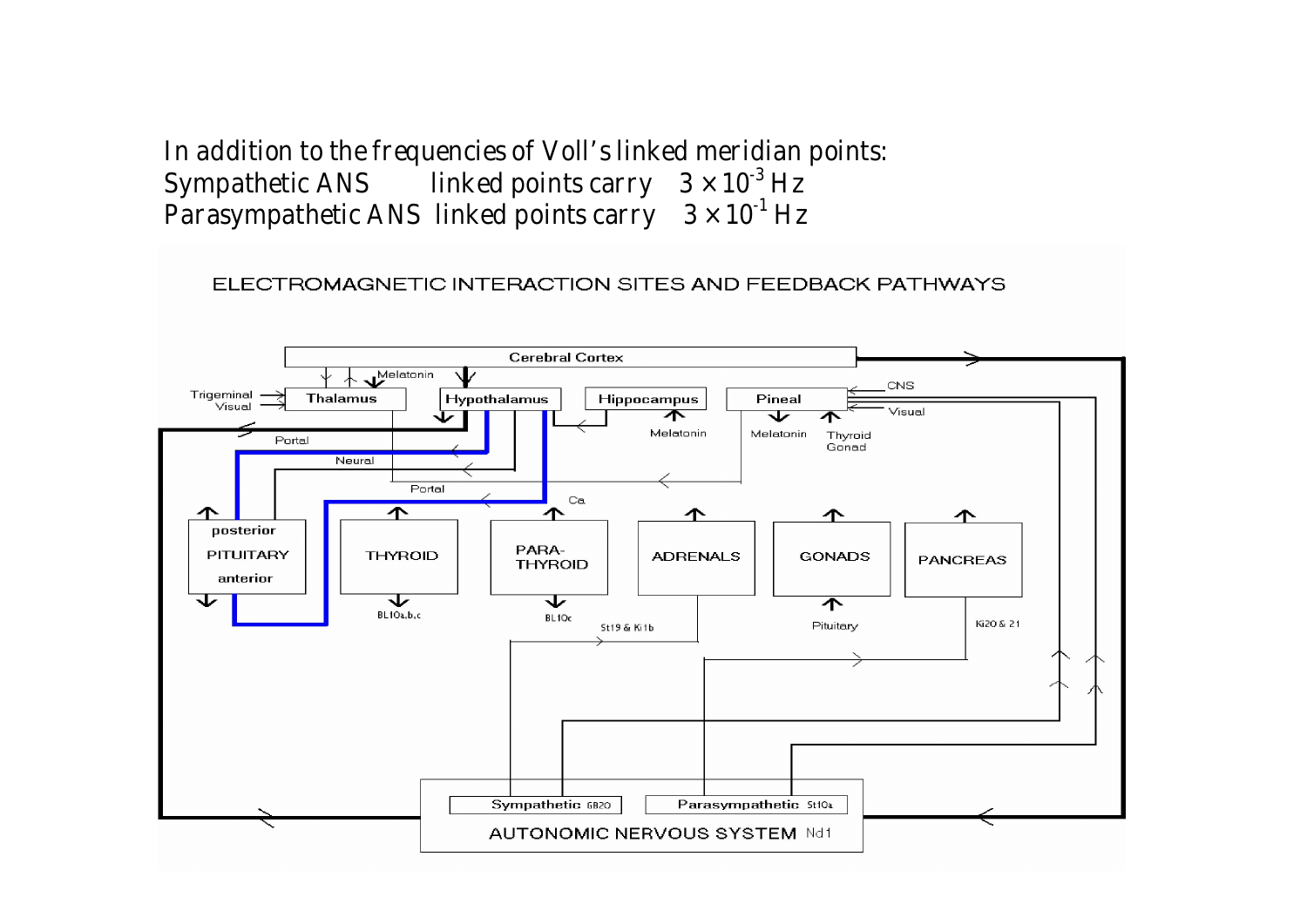**In addition to the frequencies of Voll's linked meridian points: Sympathetic ANS linked points carry 3 × 10-3 Hz Parasympathetic ANS linked points carry 3 × 10-1 Hz** 

## ELECTROMAGNETIC INTERACTION SITES AND FEEDBACK PATHWAYS

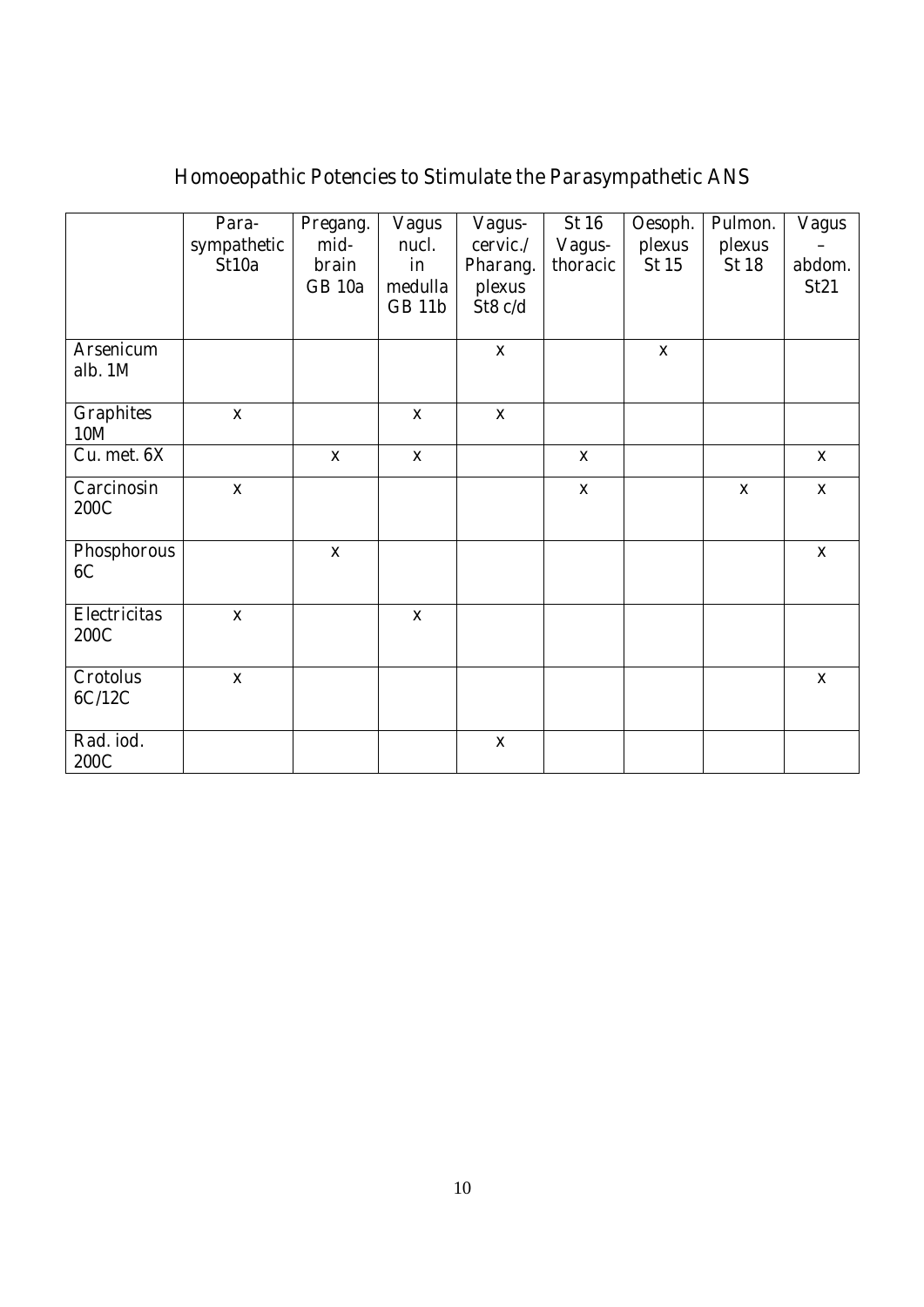# **Homoeopathic Potencies to Stimulate the Parasympathetic ANS**

|                                    | Para-<br>sympathetic<br>St10a | Pregang.<br>mid-<br><b>brain</b><br><b>GB</b> 10a | <b>Vagus</b><br>nucl.<br>in<br>medulla<br><b>GB 11b</b> | Vagus-<br>cervic./<br>Pharang.<br>plexus<br>St8 c/d | <b>St 16</b><br>Vagus-<br>thoracic | Oesoph.<br>plexus<br>St15 | Pulmon.<br>plexus<br><b>St 18</b> | <b>Vagus</b><br>abdom.<br>St21 |
|------------------------------------|-------------------------------|---------------------------------------------------|---------------------------------------------------------|-----------------------------------------------------|------------------------------------|---------------------------|-----------------------------------|--------------------------------|
| <b>Arsenicum</b><br>alb. 1M        |                               |                                                   |                                                         | $\mathbf X$                                         |                                    | $\mathbf X$               |                                   |                                |
| <b>Graphites</b><br><b>10M</b>     | $\boldsymbol{\mathrm{X}}$     |                                                   | $\mathbf{X}$                                            | $\boldsymbol{\mathrm{X}}$                           |                                    |                           |                                   |                                |
| Cu. met. 6X                        |                               | $\mathbf{x}$                                      | $\mathbf{X}$                                            |                                                     | $\mathbf{x}$                       |                           |                                   | $\mathbf{X}$                   |
| Carcinosin<br><b>200C</b>          | $\boldsymbol{\mathrm{X}}$     |                                                   |                                                         |                                                     | $\mathbf X$                        |                           | $\mathbf X$                       | $\boldsymbol{\mathrm{X}}$      |
| Phosphorous<br>6C                  |                               | $\mathbf{x}$                                      |                                                         |                                                     |                                    |                           |                                   | $\boldsymbol{\mathrm{X}}$      |
| <b>Electricitas</b><br><b>200C</b> | $\mathbf X$                   |                                                   | $\boldsymbol{\mathrm{X}}$                               |                                                     |                                    |                           |                                   |                                |
| <b>Crotolus</b><br>6C/12C          | $\mathbf X$                   |                                                   |                                                         |                                                     |                                    |                           |                                   | $\mathbf X$                    |
| Rad. iod.<br><b>200C</b>           |                               |                                                   |                                                         | $\mathbf{X}$                                        |                                    |                           |                                   |                                |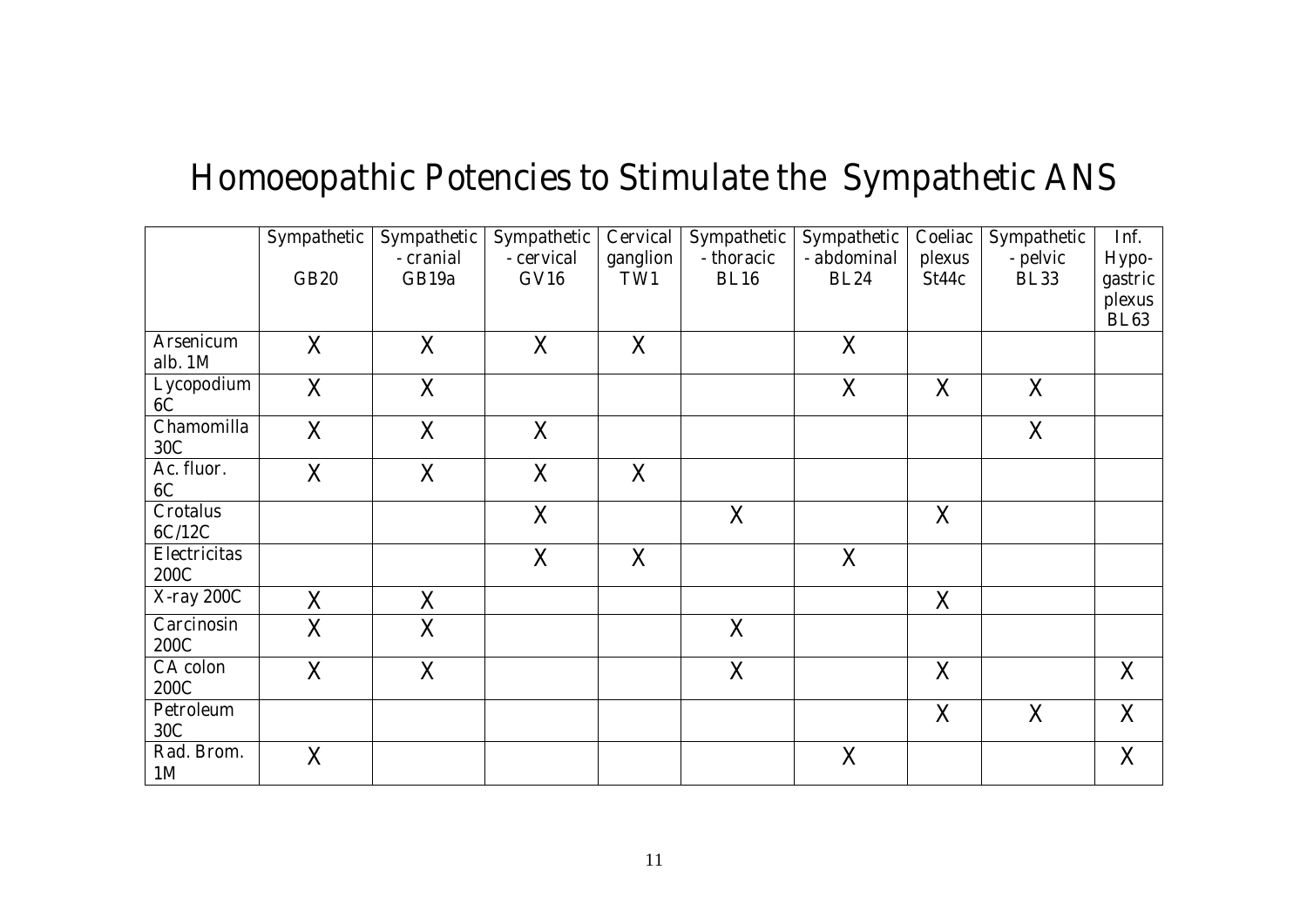# **Homoeopathic Potencies to Stimulate the Sympathetic ANS**

|                                    | Sympathetic  | Sympathetic        | <b>Sympathetic</b> | Cervical        | Sympathetic               | Sympathetic                | Coeliac         | Sympathetic             | Inf.                  |
|------------------------------------|--------------|--------------------|--------------------|-----------------|---------------------------|----------------------------|-----------------|-------------------------|-----------------------|
|                                    | <b>GB20</b>  | - cranial<br>GB19a | - cervical<br>GVI6 | ganglion<br>TW1 | - thoracic<br><b>BL16</b> | - abdominal<br><b>BL24</b> | plexus<br>St44c | - pelvic<br><b>BL33</b> | Hypo-<br>gastric      |
|                                    |              |                    |                    |                 |                           |                            |                 |                         | plexus<br><b>BL63</b> |
| <b>Arsenicum</b><br>alb. 1M        | $\mathbf{X}$ | $\mathbf{X}$       | $\mathbf{X}$       | X               |                           | $\mathbf{X}$               |                 |                         |                       |
| Lycopodium<br><b>6C</b>            | $\mathbf{X}$ | $\mathbf{X}$       |                    |                 |                           | $\mathbf{X}$               | X               | $\mathbf{X}$            |                       |
| <b>Chamomilla</b><br>30C           | $\mathbf{X}$ | $\mathbf{X}$       | $\mathbf{X}$       |                 |                           |                            |                 | $\mathbf{X}$            |                       |
| Ac. fluor.<br><b>6C</b>            | $\mathbf{X}$ | $\mathbf{X}$       | $\mathbf{X}$       | $\mathbf{X}$    |                           |                            |                 |                         |                       |
| <b>Crotalus</b><br>6C/12C          |              |                    | $\mathbf{X}$       |                 | $\mathbf{X}$              |                            | X               |                         |                       |
| <b>Electricitas</b><br><b>200C</b> |              |                    | X                  | $\mathbf{X}$    |                           | $\mathbf{X}$               |                 |                         |                       |
| <b>X-ray 200C</b>                  | $\mathbf{X}$ | $\mathbf{X}$       |                    |                 |                           |                            | $\mathbf{X}$    |                         |                       |
| Carcinosin<br><b>200C</b>          | $\mathbf{X}$ | $\mathbf{X}$       |                    |                 | $\mathbf{X}$              |                            |                 |                         |                       |
| <b>CA</b> colon<br><b>200C</b>     | $\mathbf{X}$ | $\mathbf{X}$       |                    |                 | $\mathbf{X}$              |                            | $\mathbf{X}$    |                         | X                     |
| <b>Petroleum</b><br>30C            |              |                    |                    |                 |                           |                            | $\mathbf{X}$    | $\mathbf{X}$            | $\mathbf{X}$          |
| Rad. Brom.<br><b>1M</b>            | $\mathbf X$  |                    |                    |                 |                           | $\mathbf{X}$               |                 |                         | $\mathbf{X}$          |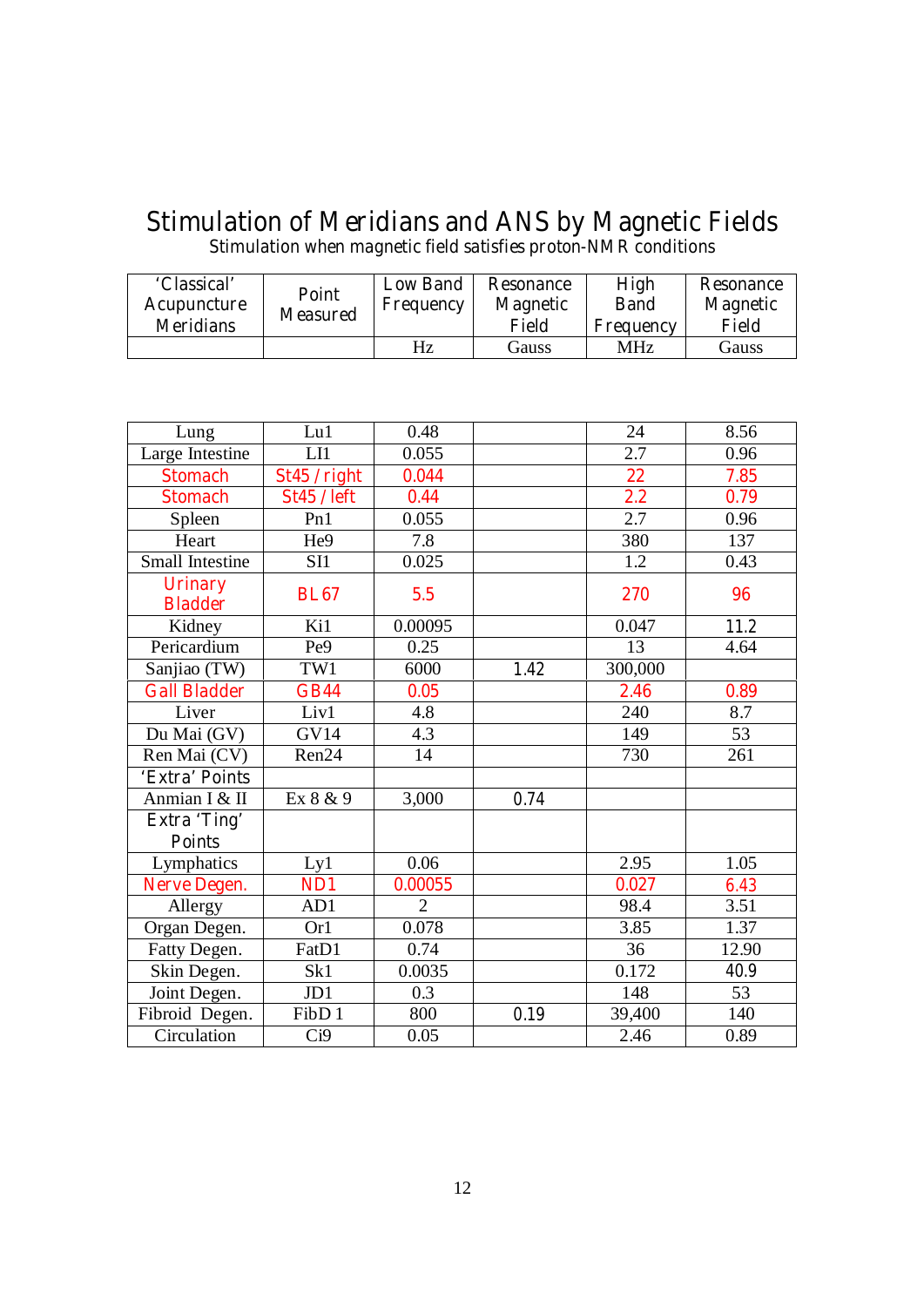# **Stimulation of Meridians and ANS by Magnetic Fields**

**Stimulation when magnetic field satisfies proton-NMR conditions** 

| 'Classical'<br>Acupuncture<br><b>Meridians</b> | Point<br><b>Measured</b> | <b>Low Band</b><br>Frequency | <b>Resonance</b><br><b>Magnetic</b><br><b>Field</b> | <b>High</b><br><b>Band</b><br><b>Frequency</b> | <b>Resonance</b><br><b>Magnetic</b><br>Field |
|------------------------------------------------|--------------------------|------------------------------|-----------------------------------------------------|------------------------------------------------|----------------------------------------------|
|                                                |                          | Hz                           | Gauss                                               | MHz                                            | Gauss                                        |

| Lung                                 | Lu1                | 0.48           |      | 24      | 8.56  |
|--------------------------------------|--------------------|----------------|------|---------|-------|
| Large Intestine                      | LI                 | 0.055          |      | 2.7     | 0.96  |
| <b>Stomach</b>                       | St45 / right       | 0.044          |      | 22      | 7.85  |
| <b>Stomach</b>                       | <b>St45 / left</b> | 0.44           |      | 2.2     | 0.79  |
| Spleen                               | Pn1                | 0.055          |      | 2.7     | 0.96  |
| Heart                                | He9                | 7.8            |      | 380     | 137   |
| Small Intestine                      | SI1                | 0.025          |      | 1.2     | 0.43  |
| <b>Urinary</b><br><b>Bladder</b>     | <b>BL67</b>        | 5.5            |      | 270     | 96    |
| Kidney                               | Ki1                | 0.00095        |      | 0.047   | 11.2  |
| Pericardium                          | Pe <sub>9</sub>    | 0.25           |      | 13      | 4.64  |
| Sanjiao (TW)                         | TW1                | 6000           | 1.42 | 300,000 |       |
| <b>Gall Bladder</b>                  | <b>GB44</b>        | 0.05           |      | 2.46    | 0.89  |
| Liver                                | Liv1               | 4.8            |      | 240     | 8.7   |
| Du Mai (GV)                          | <b>GV14</b>        | 4.3            |      | 149     | 53    |
| Ren Mai (CV)                         | Ren24              | 14             |      | 730     | 261   |
| 'Extra' Points                       |                    |                |      |         |       |
| Anmian I & II                        | Ex 8 & 9           | 3,000          | 0.74 |         |       |
| <b>Extra 'Ting'</b><br><b>Points</b> |                    |                |      |         |       |
| Lymphatics                           | Ly1                | 0.06           |      | 2.95    | 1.05  |
| <b>Nerve Degen.</b>                  | ND1                | 0.00055        |      | 0.027   | 6.43  |
| Allergy                              | AD1                | $\overline{2}$ |      | 98.4    | 3.51  |
| Organ Degen.                         | Or1                | 0.078          |      | 3.85    | 1.37  |
| Fatty Degen.                         | FatD1              | 0.74           |      | 36      | 12.90 |
| Skin Degen.                          | Sk1                | 0.0035         |      | 0.172   | 40.9  |
| Joint Degen.                         | JD1                | 0.3            |      | 148     | 53    |
| Fibroid Degen.                       | FibD <sub>1</sub>  | 800            | 0.19 | 39,400  | 140   |
| Circulation                          | Ci9                | 0.05           |      | 2.46    | 0.89  |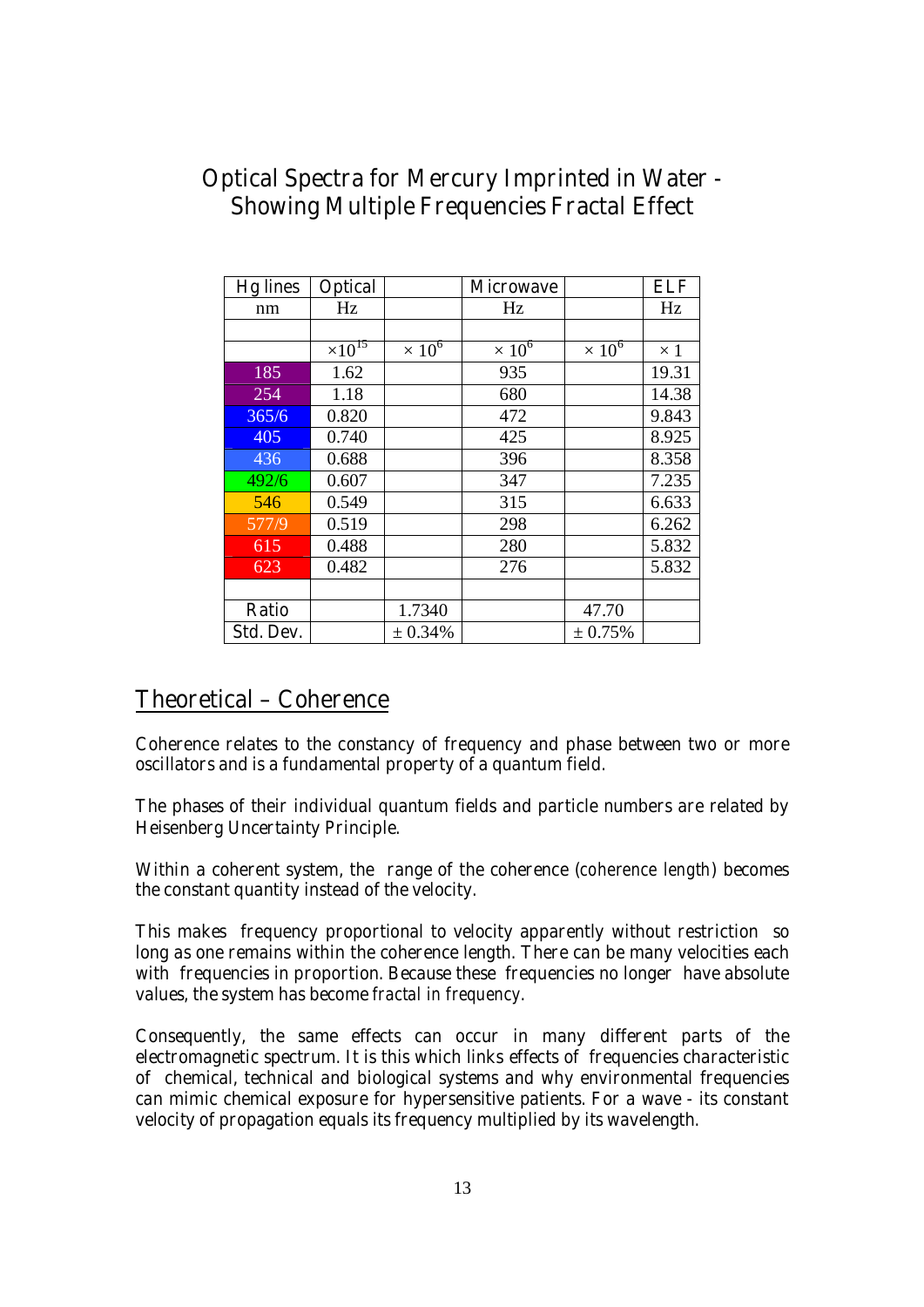# **Optical Spectra for Mercury Imprinted in Water - Showing Multiple Frequencies Fractal Effect**

| <b>Hg</b> lines | <b>Optical</b>   |                          | <b>Microwave</b> |               | <b>ELF</b> |
|-----------------|------------------|--------------------------|------------------|---------------|------------|
| nm              | Hz               |                          | Hz               |               | Hz         |
|                 |                  |                          |                  |               |            |
|                 | $\times 10^{15}$ | $\times$ 10 <sup>6</sup> | $\times 10^6$    | $\times 10^6$ | $\times$ 1 |
| 185             | 1.62             |                          | 935              |               | 19.31      |
| 254             | 1.18             |                          | 680              |               | 14.38      |
| 365/6           | 0.820            |                          | 472              |               | 9.843      |
| 405             | 0.740            |                          | 425              |               | 8.925      |
| 436             | 0.688            |                          | 396              |               | 8.358      |
| 492/6           | 0.607            |                          | 347              |               | 7.235      |
| 546             | 0.549            |                          | 315              |               | 6.633      |
| 577/9           | 0.519            |                          | 298              |               | 6.262      |
| 615             | 0.488            |                          | 280              |               | 5.832      |
| 623             | 0.482            |                          | 276              |               | 5.832      |
|                 |                  |                          |                  |               |            |
| <b>Ratio</b>    |                  | 1.7340                   |                  | 47.70         |            |
| Std. Dev.       |                  | ± 0.34%                  |                  | ± 0.75%       |            |

# **Theoretical – Coherence**

**Coherence relates to the constancy of frequency and phase between two or more oscillators and is a fundamental property of a quantum field.** 

**The phases of their individual quantum fields and particle numbers are related by Heisenberg Uncertainty Principle.** 

**Within a coherent system, the range of the coherence (***coherence length***) becomes the constant quantity instead of the velocity.** 

**This makes frequency proportional to velocity apparently without restriction so long as one remains within the coherence length. There can be many velocities each with frequencies in proportion. Because these frequencies no longer have absolute values, the system has become** *fractal in frequency***.** 

**Consequently, the same effects can occur in many different parts of the electromagnetic spectrum. It is this which links effects of frequencies characteristic of chemical, technical and biological systems and why environmental frequencies can mimic chemical exposure for hypersensitive patients. For a wave - its constant velocity of propagation equals its frequency multiplied by its wavelength.**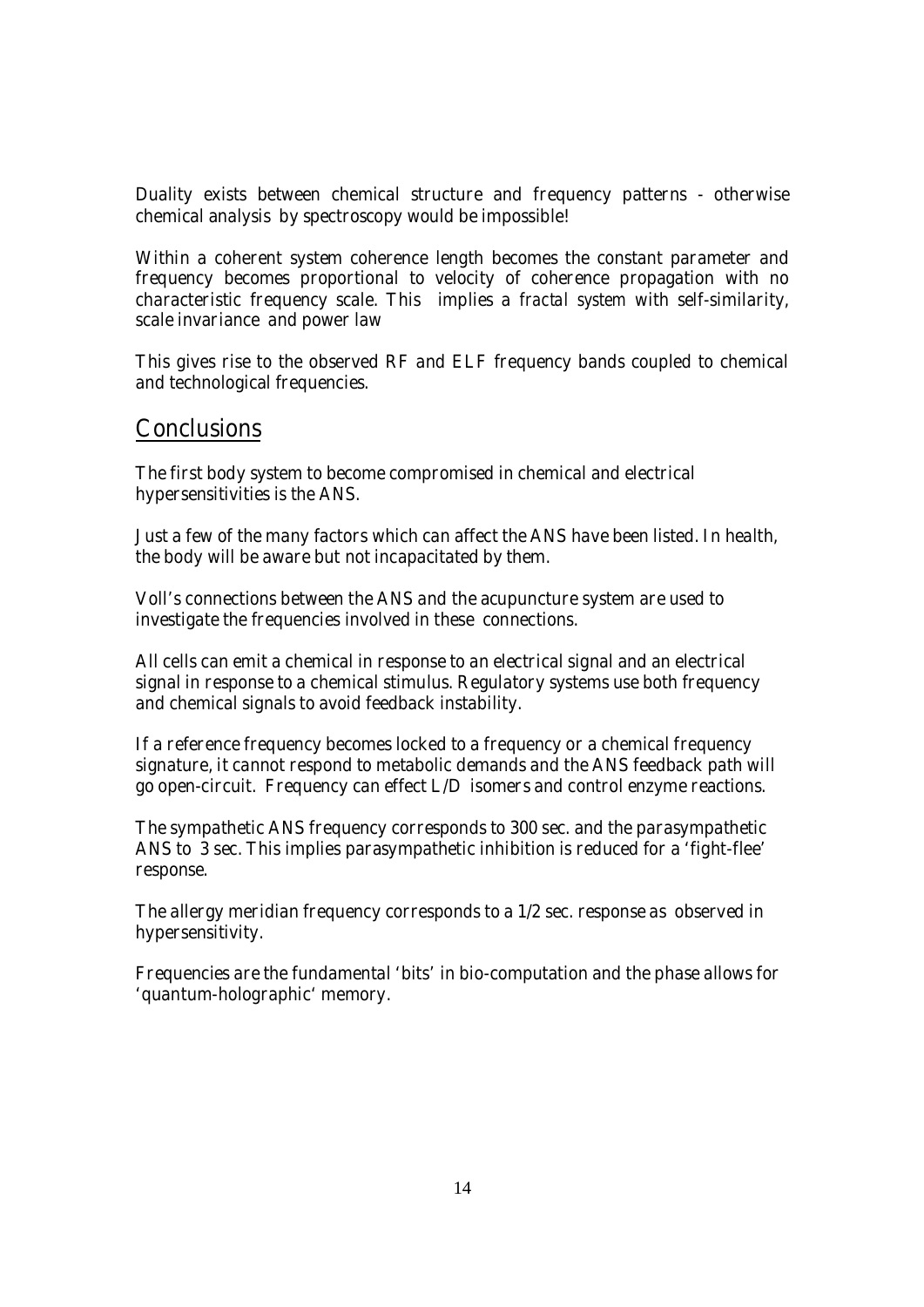**Duality exists between chemical structure and frequency patterns - otherwise chemical analysis by spectroscopy would be impossible!** 

**Within a coherent system coherence length becomes the constant parameter and frequency becomes proportional to velocity of coherence propagation with no characteristic frequency scale. This implies a** *fractal system* **with self-similarity, scale invariance and power law** 

**This gives rise to the observed RF and ELF frequency bands coupled to chemical and technological frequencies.** 

## **Conclusions**

**The first body system to become compromised in chemical and electrical hypersensitivities is the ANS.** 

**Just a few of the many factors which can affect the ANS have been listed. In health, the body will be aware but not incapacitated by them.** 

**Voll's connections between the ANS and the acupuncture system are used to investigate the frequencies involved in these connections.** 

**All cells can emit a chemical in response to an electrical signal and an electrical signal in response to a chemical stimulus. Regulatory systems use both frequency and chemical signals to avoid feedback instability.** 

**If a reference frequency becomes locked to a frequency or a chemical frequency signature, it cannot respond to metabolic demands and the ANS feedback path will go open-circuit. Frequency can effect L/D isomers and control enzyme reactions.** 

**The sympathetic ANS frequency corresponds to 300 sec. and the parasympathetic ANS to 3 sec. This implies parasympathetic inhibition is reduced for a 'fight-flee' response.** 

**The allergy meridian frequency corresponds to a 1/2 sec. response as observed in hypersensitivity.** 

**Frequencies are the fundamental 'bits' in bio-computation and the phase allows for 'quantum-holographic' memory.**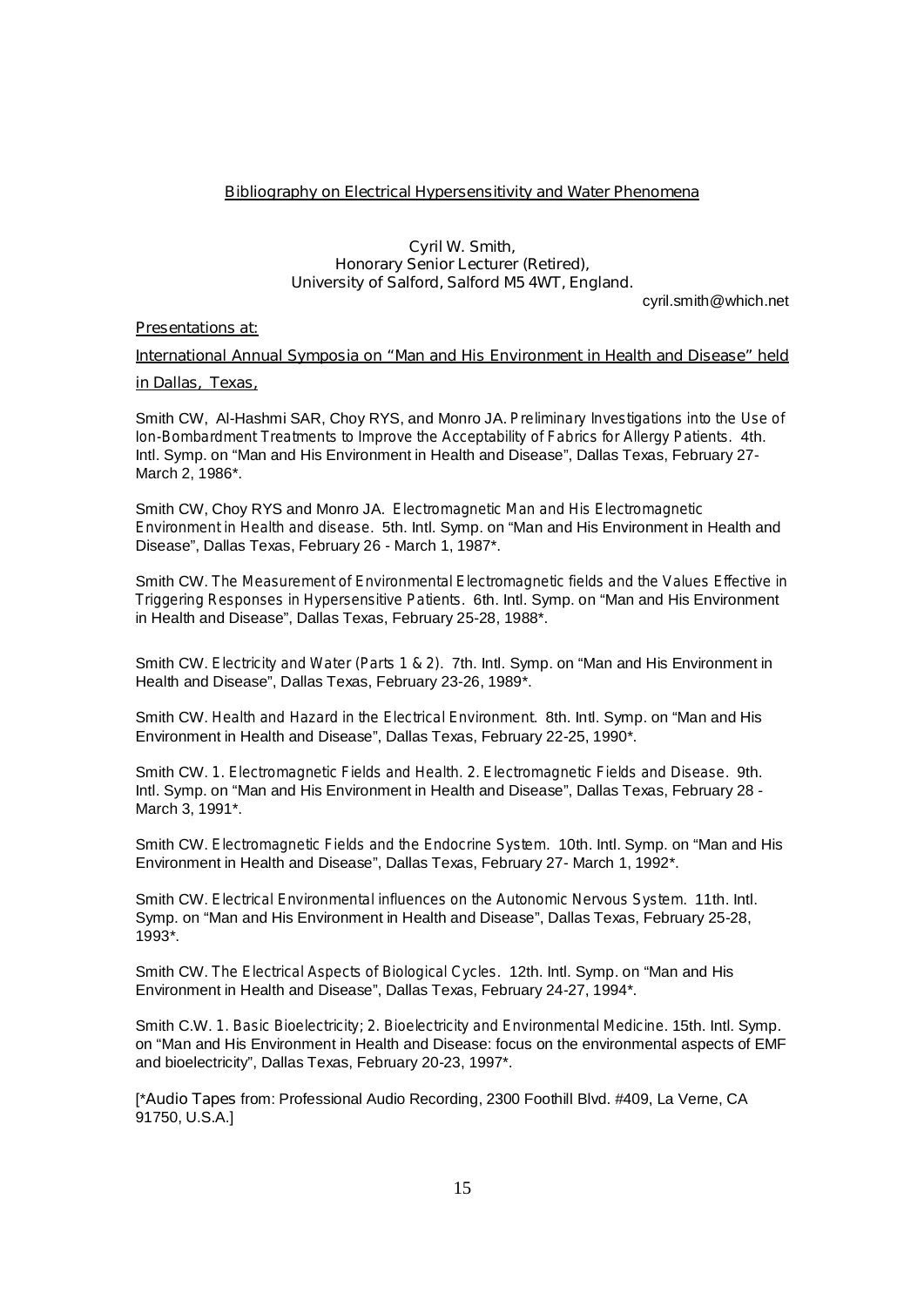#### **Bibliography on Electrical Hypersensitivity and Water Phenomena**

#### **Cyril W. Smith, Honorary Senior Lecturer (Retired), University of Salford, Salford M5 4WT, England.**

cyril.smith@which.net

#### **Presentations at:**

### **International Annual Symposia on "Man and His Environment in Health and Disease" held in Dallas, Texas,**

Smith CW, Al-Hashmi SAR, Choy RYS, and Monro JA. *Preliminary Investigations into the Use of Ion-Bombardment Treatments to Improve the Acceptability of Fabrics for Allergy Patients.* 4th. Intl. Symp. on "Man and His Environment in Health and Disease", Dallas Texas, February 27- March 2, 1986\*.

Smith CW, Choy RYS and Monro JA. *Electromagnetic Man and His Electromagnetic Environment in Health and disease*. 5th. Intl. Symp. on "Man and His Environment in Health and Disease", Dallas Texas, February 26 - March 1, 1987\*.

Smith CW. *The Measurement of Environmental Electromagnetic fields and the Values Effective in Triggering Responses in Hypersensitive Patients*. 6th. Intl. Symp. on "Man and His Environment in Health and Disease", Dallas Texas, February 25-28, 1988\*.

Smith CW. *Electricity and Water (Parts 1 & 2)*. 7th. Intl. Symp. on "Man and His Environment in Health and Disease", Dallas Texas, February 23-26, 1989\*.

Smith CW. *Health and Hazard in the Electrical Environment*. 8th. Intl. Symp. on "Man and His Environment in Health and Disease", Dallas Texas, February 22-25, 1990\*.

Smith CW. *1. Electromagnetic Fields and Health. 2. Electromagnetic Fields and Disease*. 9th. Intl. Symp. on "Man and His Environment in Health and Disease", Dallas Texas, February 28 - March 3, 1991\*.

Smith CW. *Electromagnetic Fields and the Endocrine System*. 10th. Intl. Symp. on "Man and His Environment in Health and Disease", Dallas Texas, February 27- March 1, 1992\*.

Smith CW. *Electrical Environmental influences on the Autonomic Nervous System*. 11th. Intl. Symp. on "Man and His Environment in Health and Disease", Dallas Texas, February 25-28, 1993\*.

Smith CW. *The Electrical Aspects of Biological Cycles*. 12th. Intl. Symp. on "Man and His Environment in Health and Disease", Dallas Texas, February 24-27, 1994\*.

Smith C.W. *1. Basic Bioelectricity; 2. Bioelectricity and Environmental Medicine*. 15th. Intl. Symp. on "Man and His Environment in Health and Disease: focus on the environmental aspects of EMF and bioelectricity", Dallas Texas, February 20-23, 1997\*.

[\***Audio Tapes** from: Professional Audio Recording, 2300 Foothill Blvd. #409, La Verne, CA 91750, U.S.A.]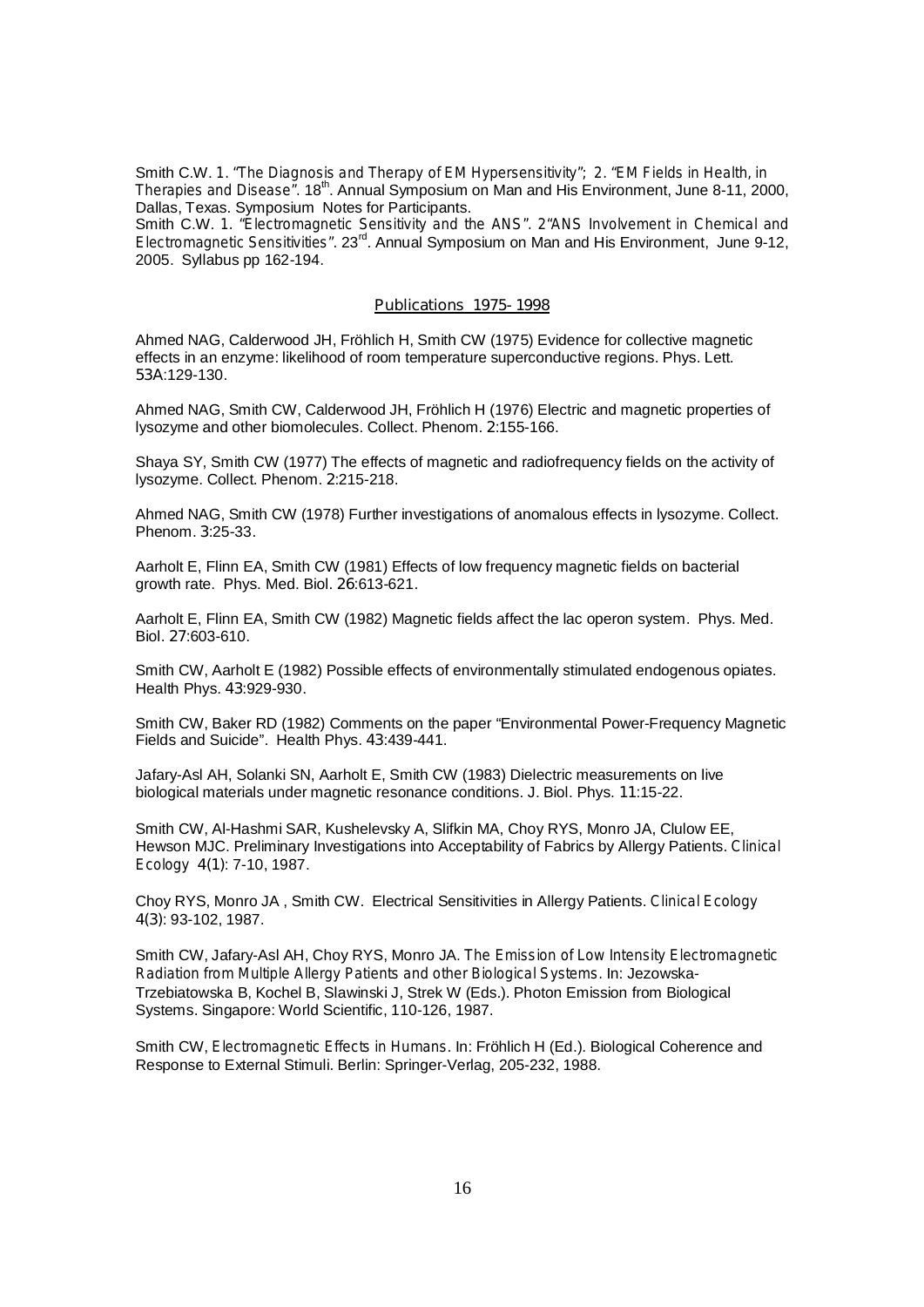Smith C.W. *1. "The Diagnosis and Therapy of EM Hypersensitivity"; 2. "EM Fields in Health, in Therapies and Disease".* 18<sup>th</sup>. Annual Symposium on Man and His Environment, June 8-11, 2000, Dallas, Texas. Symposium Notes for Participants.

Smith C.W. *1. "Electromagnetic Sensitivity and the ANS". 2"ANS Involvement in Chemical and Electromagnetic Sensitivities".* 23rd. Annual Symposium on Man and His Environment, June 9-12, 2005. Syllabus pp 162-194.

#### **Publications 1975- 1998**

Ahmed NAG, Calderwood JH, Fröhlich H, Smith CW (1975) Evidence for collective magnetic effects in an enzyme: likelihood of room temperature superconductive regions. Phys. Lett. **53A**:129-130.

Ahmed NAG, Smith CW, Calderwood JH, Fröhlich H (1976) Electric and magnetic properties of lysozyme and other biomolecules. Collect. Phenom. **2**:155-166.

Shaya SY, Smith CW (1977) The effects of magnetic and radiofrequency fields on the activity of lysozyme. Collect. Phenom. **2**:215-218.

Ahmed NAG, Smith CW (1978) Further investigations of anomalous effects in lysozyme. Collect. Phenom. **3**:25-33.

Aarholt E, Flinn EA, Smith CW (1981) Effects of low frequency magnetic fields on bacterial growth rate. Phys. Med. Biol. **26**:613-621.

Aarholt E, Flinn EA, Smith CW (1982) Magnetic fields affect the lac operon system. Phys. Med. Biol. **27**:603-610.

Smith CW, Aarholt E (1982) Possible effects of environmentally stimulated endogenous opiates. Health Phys. **43**:929-930.

Smith CW, Baker RD (1982) Comments on the paper "Environmental Power-Frequency Magnetic Fields and Suicide". Health Phys. **43**:439-441.

Jafary-Asl AH, Solanki SN, Aarholt E, Smith CW (1983) Dielectric measurements on live biological materials under magnetic resonance conditions. J. Biol. Phys. **11**:15-22.

Smith CW, Al-Hashmi SAR, Kushelevsky A, Slifkin MA, Choy RYS, Monro JA, Clulow EE, Hewson MJC. Preliminary Investigations into Acceptability of Fabrics by Allergy Patients. *Clinical Ecology* **4(1)**: 7-10, 1987.

Choy RYS, Monro JA , Smith CW. Electrical Sensitivities in Allergy Patients. *Clinical Ecology*  **4(3)**: 93-102, 1987.

Smith CW, Jafary-Asl AH, Choy RYS, Monro JA. *The Emission of Low Intensity Electromagnetic Radiation from Multiple Allergy Patients and other Biological Systems.* In: Jezowska-Trzebiatowska B, Kochel B, Slawinski J, Strek W (Eds.). Photon Emission from Biological Systems. Singapore: World Scientific, 110-126, 1987.

Smith CW, *Electromagnetic Effects in Humans*. In: Fröhlich H (Ed.). Biological Coherence and Response to External Stimuli. Berlin: Springer-Verlag, 205-232, 1988.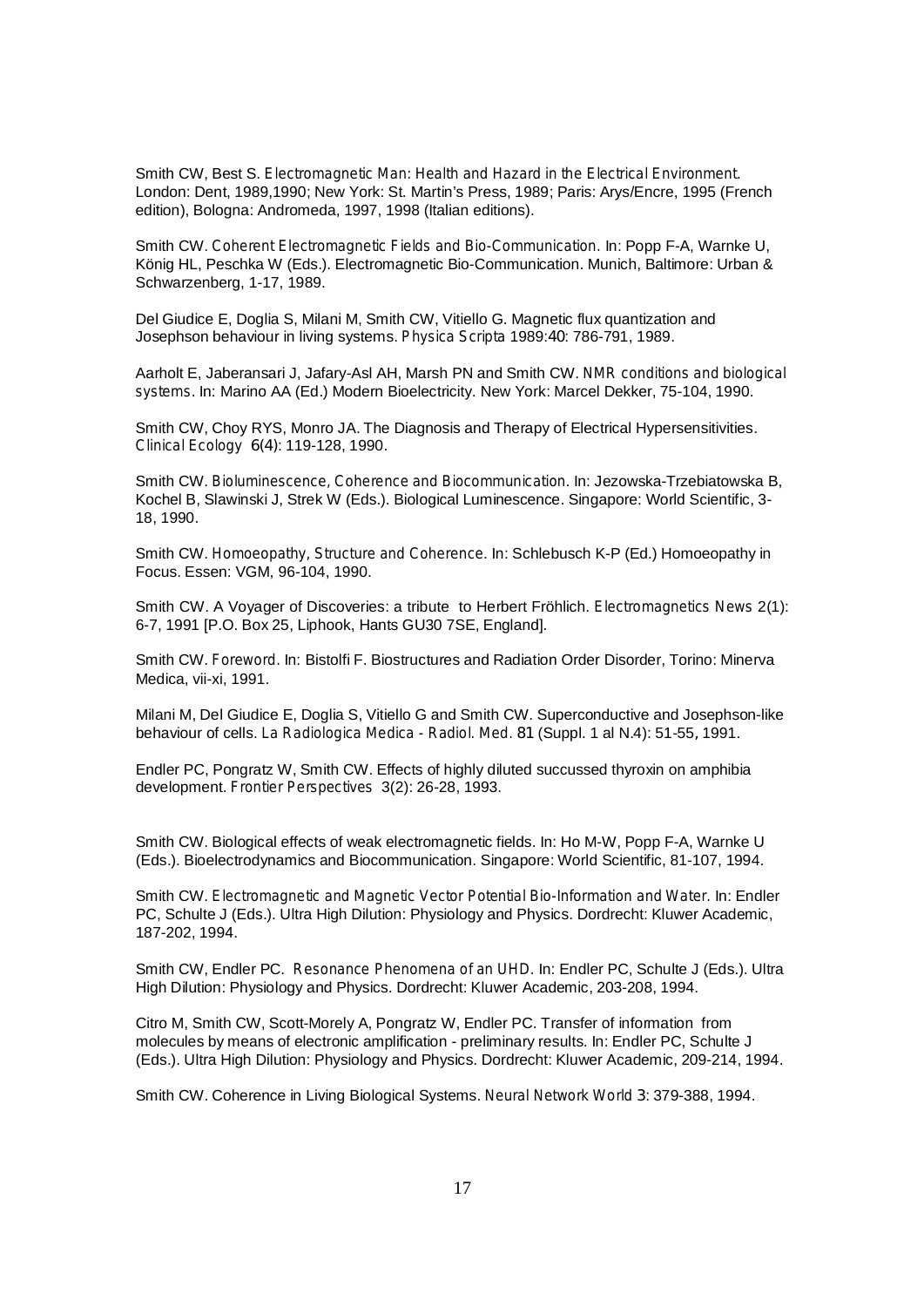Smith CW, Best S. *Electromagnetic Man: Health and Hazard in the Electrical Environment.*  London: Dent, 1989,1990; New York: St. Martin's Press, 1989; Paris: Arys/Encre, 1995 (French edition), Bologna: Andromeda, 1997, 1998 (Italian editions).

Smith CW. *Coherent Electromagnetic Fields and Bio-Communication.* In: Popp F-A, Warnke U, König HL, Peschka W (Eds.). Electromagnetic Bio-Communication. Munich, Baltimore: Urban & Schwarzenberg, 1-17, 1989.

Del Giudice E, Doglia S, Milani M, Smith CW, Vitiello G. Magnetic flux quantization and Josephson behaviour in living systems. *Physica Scripta* 1989:**40**: 786-791, 1989.

Aarholt E, Jaberansari J, Jafary-Asl AH, Marsh PN and Smith CW. *NMR conditions and biological systems.* In: Marino AA (Ed.) Modern Bioelectricity. New York: Marcel Dekker, 75-104, 1990.

Smith CW, Choy RYS, Monro JA. The Diagnosis and Therapy of Electrical Hypersensitivities. *Clinical Ecology* **6(4)**: 119-128, 1990.

Smith CW. *Bioluminescence, Coherence and Biocommunication*. In: Jezowska-Trzebiatowska B, Kochel B, Slawinski J, Strek W (Eds.). Biological Luminescence. Singapore: World Scientific, 3- 18, 1990.

Smith CW. *Homoeopathy, Structure and Coherence*. In: Schlebusch K-P (Ed.) Homoeopathy in Focus. Essen: VGM, 96-104, 1990.

Smith CW. A Voyager of Discoveries: a tribute to Herbert Fröhlich. *Electromagnetics News* 2(1): 6-7, 1991 [P.O. Box 25, Liphook, Hants GU30 7SE, England].

Smith CW. *Foreword.* In: Bistolfi F. Biostructures and Radiation Order Disorder, Torino: Minerva Medica, vii-xi, 1991.

Milani M, Del Giudice E, Doglia S, Vitiello G and Smith CW. Superconductive and Josephson-like behaviour of cells. *La Radiologica Medica - Radiol. Med.* **81** (Suppl. 1 al N.4): 51-55**,** 1991.

Endler PC, Pongratz W, Smith CW. Effects of highly diluted succussed thyroxin on amphibia development. *Frontier Perspectives* 3(2): 26-28, 1993.

Smith CW. Biological effects of weak electromagnetic fields. In: Ho M-W, Popp F-A, Warnke U (Eds.). Bioelectrodynamics and Biocommunication. Singapore: World Scientific, 81-107, 1994.

Smith CW. *Electromagnetic and Magnetic Vector Potential Bio-Information and Water.* In: Endler PC, Schulte J (Eds.). Ultra High Dilution: Physiology and Physics. Dordrecht: Kluwer Academic, 187-202, 1994.

Smith CW, Endler PC. *Resonance Phenomena of an UHD.* In: Endler PC, Schulte J (Eds.). Ultra High Dilution: Physiology and Physics. Dordrecht: Kluwer Academic, 203-208, 1994.

Citro M, Smith CW, Scott-Morely A, Pongratz W, Endler PC. Transfer of information from molecules by means of electronic amplification - preliminary results. In: Endler PC, Schulte J (Eds.). Ultra High Dilution: Physiology and Physics. Dordrecht: Kluwer Academic, 209-214, 1994.

Smith CW. Coherence in Living Biological Systems. *Neural Network World* **3**: 379-388, 1994.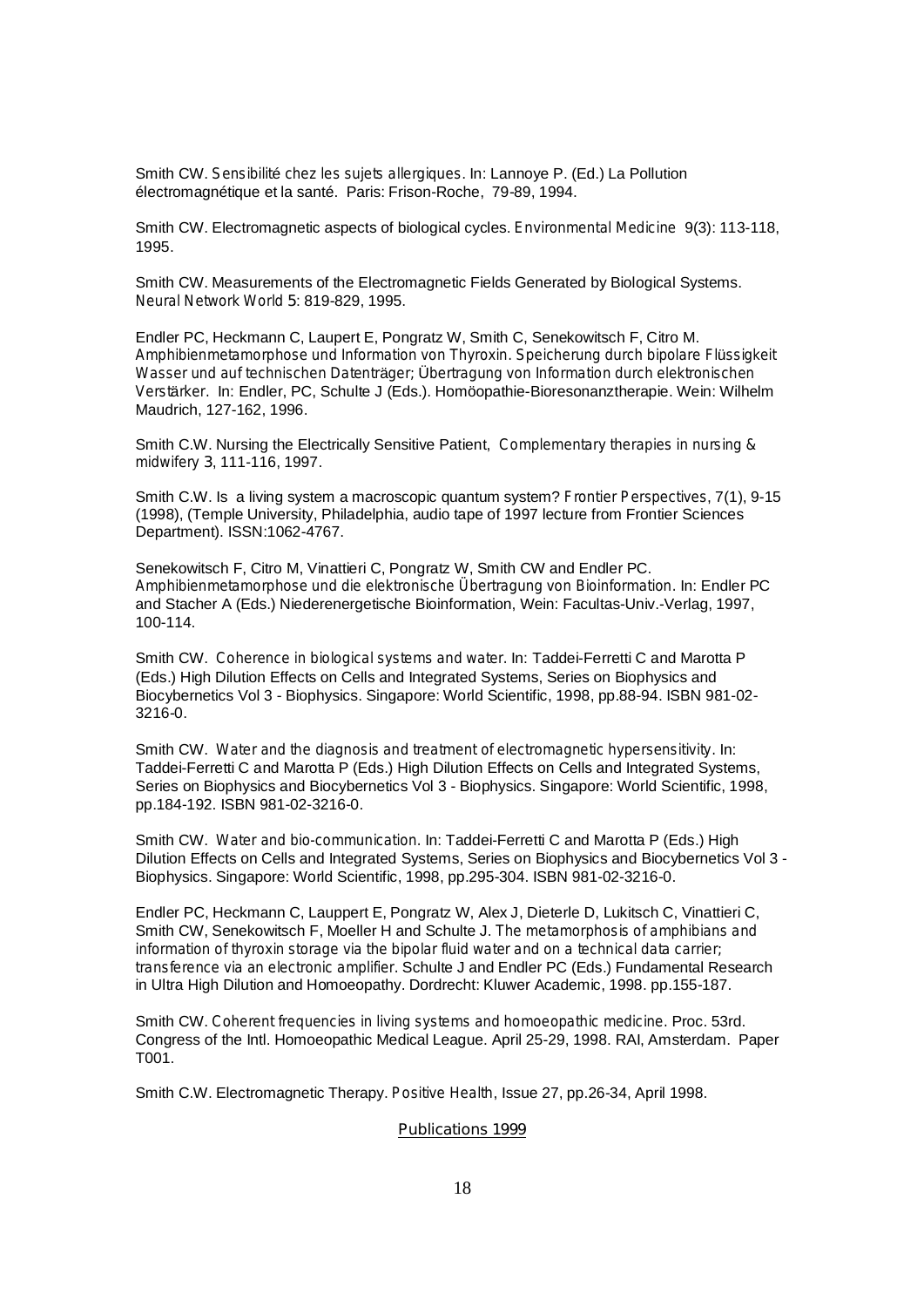Smith CW. *Sensibilit*é *chez les sujets allergiques*. In: Lannoye P. (Ed.) La Pollution électromagnétique et la santé. Paris: Frison-Roche, 79-89, 1994.

Smith CW. Electromagnetic aspects of biological cycles. *Environmental Medicine* 9(3): 113-118, 1995.

Smith CW. Measurements of the Electromagnetic Fields Generated by Biological Systems. *Neural Network World* **5**: 819-829, 1995.

Endler PC, Heckmann C, Laupert E, Pongratz W, Smith C, Senekowitsch F, Citro M. *Amphibienmetamorphose und Information von Thyroxin. Speicherung durch bipolare Fl*ü*ssigkeit Wasser und auf technischen Datentr*ä*ger;* Ü*bertragung von Information durch elektronischen Verst*ä*rker.* In: Endler, PC, Schulte J (Eds.). Homöopathie-Bioresonanztherapie. Wein: Wilhelm Maudrich, 127-162, 1996.

Smith C.W. Nursing the Electrically Sensitive Patient, *Complementary therapies in nursing & midwifery* **3**, 111-116, 1997.

Smith C.W. Is a living system a macroscopic quantum system? *Frontier Perspectives*, 7(1), 9-15 (1998), (Temple University, Philadelphia, audio tape of 1997 lecture from Frontier Sciences Department). ISSN:1062-4767.

Senekowitsch F, Citro M, Vinattieri C, Pongratz W, Smith CW and Endler PC. *Amphibienmetamorphose und die elektronische Übertragung von Bioinformation.* In: Endler PC and Stacher A (Eds.) Niederenergetische Bioinformation, Wein: Facultas-Univ.-Verlag, 1997, 100-114.

Smith CW. *Coherence in biological systems and water.* In: Taddei-Ferretti C and Marotta P (Eds.) High Dilution Effects on Cells and Integrated Systems, Series on Biophysics and Biocybernetics Vol 3 - Biophysics. Singapore: World Scientific, 1998, pp.88-94. ISBN 981-02- 3216-0.

Smith CW. *Water and the diagnosis and treatment of electromagnetic hypersensitivity.* In: Taddei-Ferretti C and Marotta P (Eds.) High Dilution Effects on Cells and Integrated Systems, Series on Biophysics and Biocybernetics Vol 3 - Biophysics. Singapore: World Scientific, 1998, pp.184-192. ISBN 981-02-3216-0.

Smith CW. *Water and bio-communication.* In: Taddei-Ferretti C and Marotta P (Eds.) High Dilution Effects on Cells and Integrated Systems, Series on Biophysics and Biocybernetics Vol 3 - Biophysics. Singapore: World Scientific, 1998, pp.295-304. ISBN 981-02-3216-0.

Endler PC, Heckmann C, Lauppert E, Pongratz W, Alex J, Dieterle D, Lukitsch C, Vinattieri C, Smith CW, Senekowitsch F, Moeller H and Schulte J. *The metamorphosis of amphibians and information of thyroxin storage via the bipolar fluid water and on a technical data carrier; transference via an electronic amplifier.* Schulte J and Endler PC (Eds.) Fundamental Research in Ultra High Dilution and Homoeopathy. Dordrecht: Kluwer Academic, 1998. pp.155-187.

Smith CW. *Coherent frequencies in living systems and homoeopathic medicine.* Proc. 53rd. Congress of the Intl. Homoeopathic Medical League. April 25-29, 1998. RAI, Amsterdam. Paper T001.

Smith C.W. Electromagnetic Therapy. *Positive Health*, Issue 27, pp.26-34, April 1998.

#### **Publications 1999**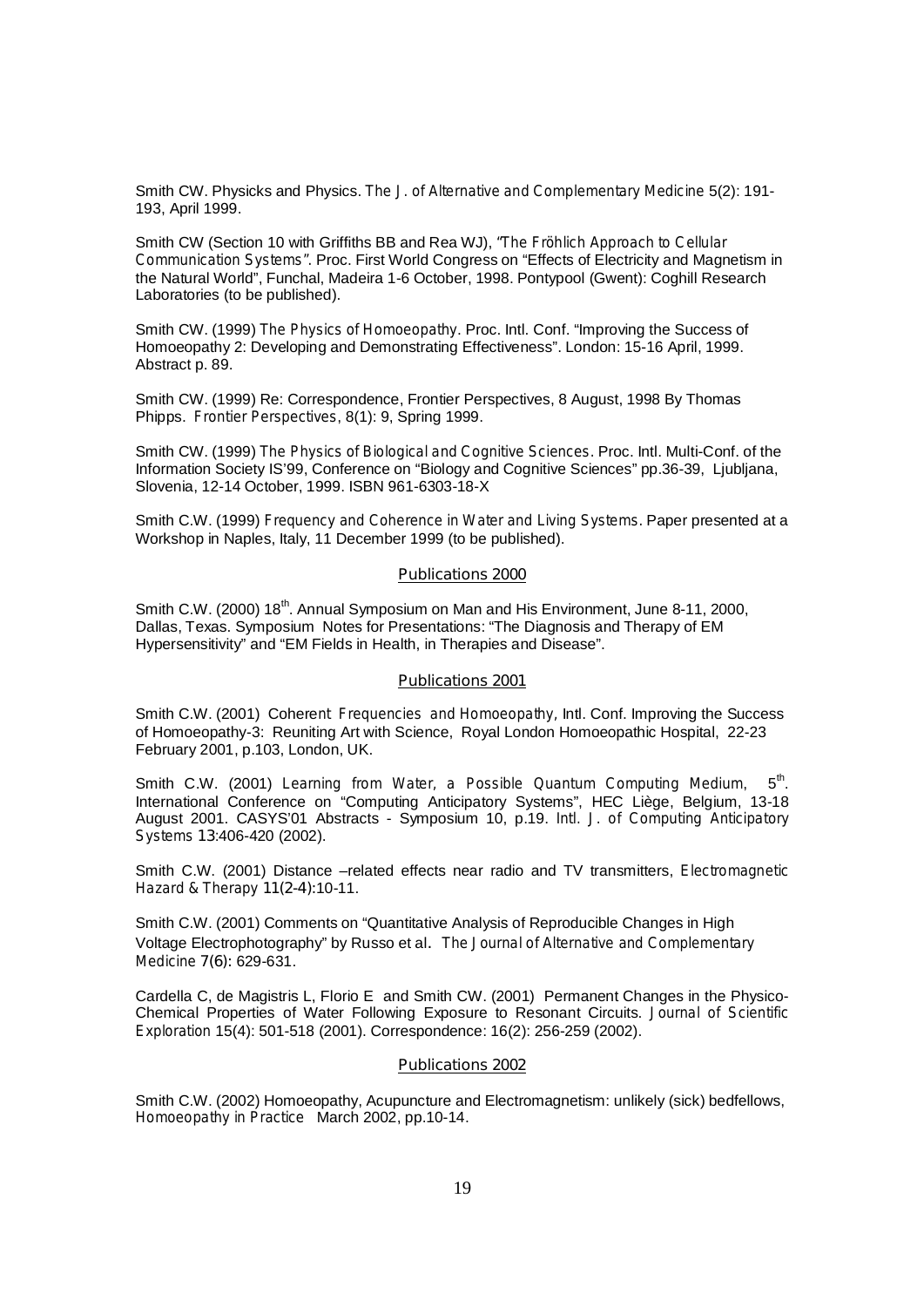Smith CW. Physicks and Physics. *The J. of Alternative and Complementary Medicine* 5(2): 191- 193, April 1999.

Smith CW (Section 10 with Griffiths BB and Rea WJ), *"The Fröhlich Approach to Cellular Communication Systems".* Proc. First World Congress on "Effects of Electricity and Magnetism in the Natural World", Funchal, Madeira 1-6 October, 1998. Pontypool (Gwent): Coghill Research Laboratories (to be published).

Smith CW. (1999) *The Physics of Homoeopathy*. Proc. Intl. Conf. "Improving the Success of Homoeopathy 2: Developing and Demonstrating Effectiveness". London: 15-16 April, 1999. Abstract p. 89.

Smith CW. (1999) Re: Correspondence, Frontier Perspectives, 8 August, 1998 By Thomas Phipps. *Frontier Perspectives*, 8(1): 9, Spring 1999.

Smith CW. (1999) *The Physics of Biological and Cognitive Sciences.* Proc. Intl. Multi-Conf. of the Information Society IS'99, Conference on "Biology and Cognitive Sciences" pp.36-39, Ljubljana, Slovenia, 12-14 October, 1999. ISBN 961-6303-18-X

Smith C.W. (1999) *Frequency and Coherence in Water and Living Systems*. Paper presented at a Workshop in Naples, Italy, 11 December 1999 (to be published).

#### **Publications 2000**

Smith C.W. (2000) 18<sup>th</sup>. Annual Symposium on Man and His Environment, June 8-11, 2000, Dallas, Texas. Symposium Notes for Presentations: "The Diagnosis and Therapy of EM Hypersensitivity" and "EM Fields in Health, in Therapies and Disease".

#### **Publications 2001**

Smith C.W. (2001) Cohere*nt Frequencies and Homoeopathy,* Intl. Conf. Improving the Success of Homoeopathy-3: Reuniting Art with Science, Royal London Homoeopathic Hospital, 22-23 February 2001, p.103, London, UK.

Smith C.W. (2001) *Learning from Water, a Possible Quantum Computing Medium*, 5<sup>th</sup>. International Conference on "Computing Anticipatory Systems", HEC Liège, Belgium, 13-18 August 2001. CASYS'01 Abstracts - Symposium 10, p.19. *Intl. J. of Computing Anticipatory Systems* **13**:406-420 (2002).

Smith C.W. (2001) Distance –related effects near radio and TV transmitters, *Electromagnetic Hazard & Therapy* **11(2-4):**10-11.

Smith C.W. (2001) Comments on "Quantitative Analysis of Reproducible Changes in High Voltage Electrophotography" by Russo et al.*The Journal of Alternative and Complementary Medicine* **7(6):** 629-631.

Cardella C, de Magistris L, Florio E and Smith CW. (2001) Permanent Changes in the Physico-Chemical Properties of Water Following Exposure to Resonant Circuits. *Journal of Scientific Exploration* 15(4): 501-518 (2001). Correspondence: 16(2): 256-259 (2002).

#### **Publications 2002**

Smith C.W. (2002) Homoeopathy, Acupuncture and Electromagnetism: unlikely (sick) bedfellows, *Homoeopathy in Practice* March 2002, pp.10-14.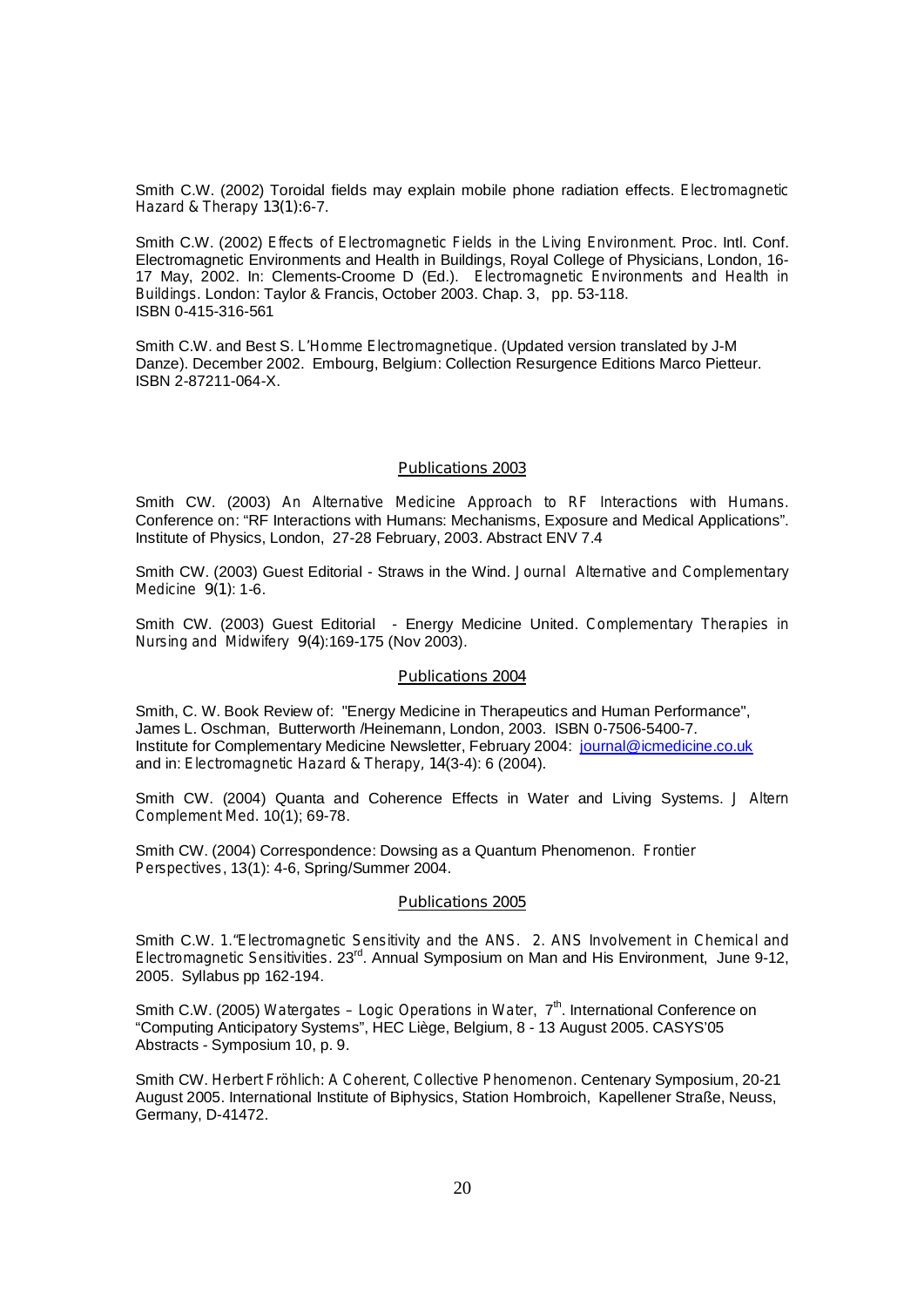Smith C.W. (2002) Toroidal fields may explain mobile phone radiation effects. *Electromagnetic Hazard & Therapy* **13(1):**6-7.

Smith C.W. (2002) *Effects of Electromagnetic Fields in the Living Environment*. Proc. Intl. Conf. Electromagnetic Environments and Health in Buildings, Royal College of Physicians, London, 16- 17 May, 2002. In: Clements-Croome D (Ed.). *Electromagnetic Environments and Health in Buildings. London: Taylor & Francis, October 2003. Chap. 3, pp. 53-118.* ISBN 0-415-316-561

Smith C.W. and Best S. *L'Homme Electromagnetique*. (Updated version translated by J-M Danze). December 2002. Embourg, Belgium: Collection Resurgence Editions Marco Pietteur. ISBN 2-87211-064-X.

#### **Publications 2003**

Smith CW. (2003) *An Alternative Medicine Approach to RF Interactions with Humans.* Conference on: "RF Interactions with Humans: Mechanisms, Exposure and Medical Applications". Institute of Physics, London, 27-28 February, 2003. Abstract ENV 7.4

Smith CW. (2003) Guest Editorial - Straws in the Wind. *Journal Alternative and Complementary Medicine* **9(1)**: 1-6.

Smith CW. (2003) Guest Editorial - Energy Medicine United. *Complementary Therapies in Nursing and Midwifery* **9(4**):169-175 (Nov 2003).

#### **Publications 2004**

Smith, C. W. Book Review of: "Energy Medicine in Therapeutics and Human Performance", James L. Oschman, Butterworth /Heinemann, London, 2003. ISBN 0-7506-5400-7. Institute for Complementary Medicine Newsletter, February 2004: journal@icmedicine.co.uk and in: *Electromagnetic Hazard & Therapy,* **14**(3-4): 6 (2004).

Smith CW. (2004) Quanta and Coherence Effects in Water and Living Systems. *J Altern Complement Med.* 10(1); 69-78.

Smith CW. (2004) Correspondence: Dowsing as a Quantum Phenomenon. *Frontier Perspectives*, 13(1): 4-6, Spring/Summer 2004.

#### **Publications 2005**

Smith C.W. *1."Electromagnetic Sensitivity and the ANS. 2. ANS Involvement in Chemical and Electromagnetic Sensitivities.* 23rd. Annual Symposium on Man and His Environment, June 9-12, 2005. Syllabus pp 162-194.

Smith C.W. (2005) *Watergates – Logic Operations in Water*, 7<sup>th</sup>. International Conference on "Computing Anticipatory Systems", HEC Liège, Belgium, 8 - 13 August 2005. CASYS'05 Abstracts - Symposium 10, p. 9.

Smith CW. *Herbert Fröhlich: A Coherent, Collective Phenomenon.* Centenary Symposium, 20-21 August 2005. International Institute of Biphysics, Station Hombroich, Kapellener Straße, Neuss, Germany, D-41472.